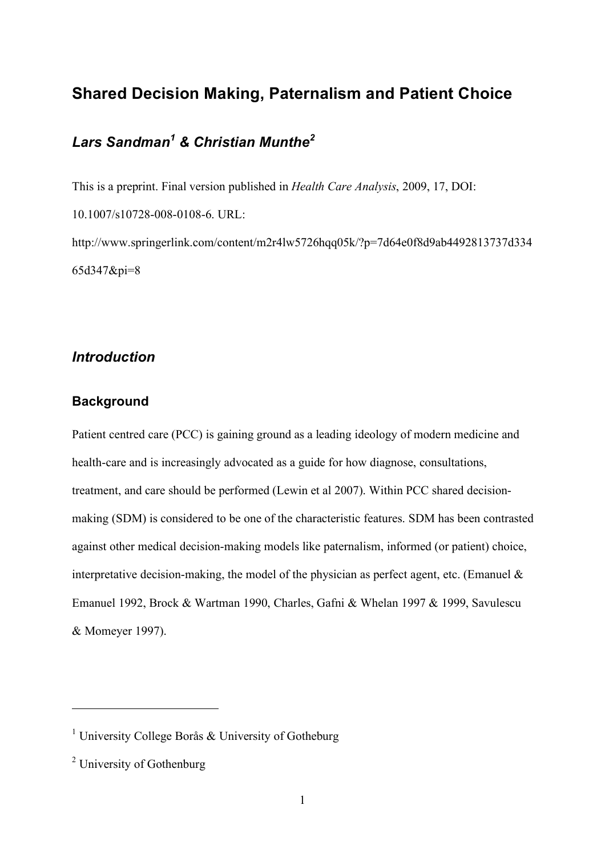# **Shared Decision Making, Paternalism and Patient Choice**

# *Lars Sandman<sup>1</sup> & Christian Munthe<sup>2</sup>*

This is a preprint. Final version published in *Health Care Analysis*, 2009, 17, DOI: 10.1007/s10728-008-0108-6. URL: http://www.springerlink.com/content/m2r4lw5726hqq05k/?p=7d64e0f8d9ab4492813737d334 65d347&pi=8

# *Introduction*

# **Background**

Patient centred care (PCC) is gaining ground as a leading ideology of modern medicine and health-care and is increasingly advocated as a guide for how diagnose, consultations, treatment, and care should be performed (Lewin et al 2007). Within PCC shared decisionmaking (SDM) is considered to be one of the characteristic features. SDM has been contrasted against other medical decision-making models like paternalism, informed (or patient) choice, interpretative decision-making, the model of the physician as perfect agent, etc. (Emanuel  $\&$ Emanuel 1992, Brock & Wartman 1990, Charles, Gafni & Whelan 1997 & 1999, Savulescu & Momeyer 1997).

 $\overline{a}$ 

<sup>&</sup>lt;sup>1</sup> University College Borås & University of Gotheburg

<sup>&</sup>lt;sup>2</sup> University of Gothenburg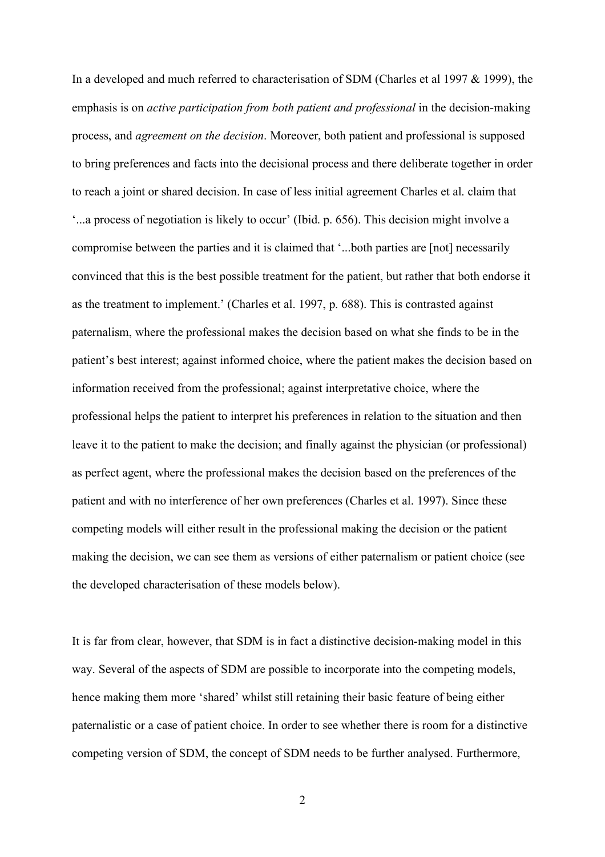In a developed and much referred to characterisation of SDM (Charles et al 1997 & 1999), the emphasis is on *active participation from both patient and professional* in the decision-making process, and *agreement on the decision*. Moreover, both patient and professional is supposed to bring preferences and facts into the decisional process and there deliberate together in order to reach a joint or shared decision. In case of less initial agreement Charles et al. claim that '...a process of negotiation is likely to occur' (Ibid. p. 656). This decision might involve a compromise between the parties and it is claimed that '...both parties are [not] necessarily convinced that this is the best possible treatment for the patient, but rather that both endorse it as the treatment to implement.' (Charles et al. 1997, p. 688). This is contrasted against paternalism, where the professional makes the decision based on what she finds to be in the patient's best interest; against informed choice, where the patient makes the decision based on information received from the professional; against interpretative choice, where the professional helps the patient to interpret his preferences in relation to the situation and then leave it to the patient to make the decision; and finally against the physician (or professional) as perfect agent, where the professional makes the decision based on the preferences of the patient and with no interference of her own preferences (Charles et al. 1997). Since these competing models will either result in the professional making the decision or the patient making the decision, we can see them as versions of either paternalism or patient choice (see the developed characterisation of these models below).

It is far from clear, however, that SDM is in fact a distinctive decision-making model in this way. Several of the aspects of SDM are possible to incorporate into the competing models, hence making them more 'shared' whilst still retaining their basic feature of being either paternalistic or a case of patient choice. In order to see whether there is room for a distinctive competing version of SDM, the concept of SDM needs to be further analysed. Furthermore,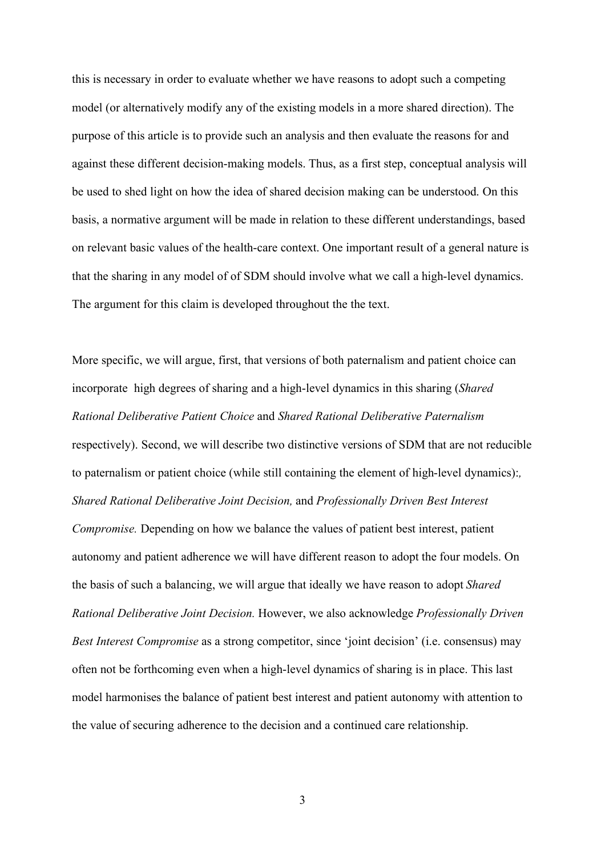this is necessary in order to evaluate whether we have reasons to adopt such a competing model (or alternatively modify any of the existing models in a more shared direction). The purpose of this article is to provide such an analysis and then evaluate the reasons for and against these different decision-making models. Thus, as a first step, conceptual analysis will be used to shed light on how the idea of shared decision making can be understood. On this basis, a normative argument will be made in relation to these different understandings, based on relevant basic values of the health-care context. One important result of a general nature is that the sharing in any model of of SDM should involve what we call a high-level dynamics. The argument for this claim is developed throughout the the text.

More specific, we will argue, first, that versions of both paternalism and patient choice can incorporate high degrees of sharing and a high-level dynamics in this sharing (*Shared Rational Deliberative Patient Choice* and *Shared Rational Deliberative Paternalism* respectively). Second, we will describe two distinctive versions of SDM that are not reducible to paternalism or patient choice (while still containing the element of high-level dynamics):*, Shared Rational Deliberative Joint Decision,* and *Professionally Driven Best Interest Compromise.* Depending on how we balance the values of patient best interest, patient autonomy and patient adherence we will have different reason to adopt the four models. On the basis of such a balancing, we will argue that ideally we have reason to adopt *Shared Rational Deliberative Joint Decision.* However, we also acknowledge *Professionally Driven Best Interest Compromise* as a strong competitor, since 'joint decision' (i.e. consensus) may often not be forthcoming even when a high-level dynamics of sharing is in place. This last model harmonises the balance of patient best interest and patient autonomy with attention to the value of securing adherence to the decision and a continued care relationship.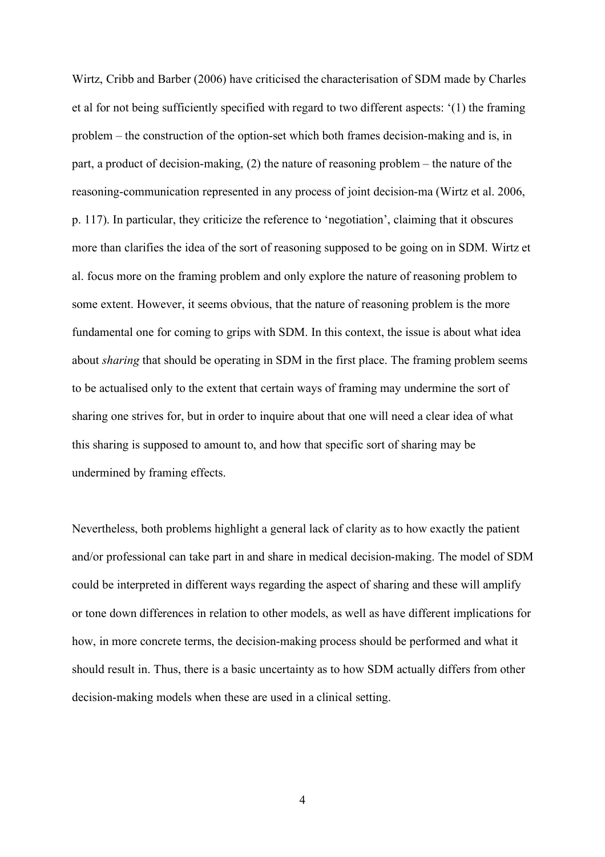Wirtz, Cribb and Barber (2006) have criticised the characterisation of SDM made by Charles et al for not being sufficiently specified with regard to two different aspects: '(1) the framing problem – the construction of the option-set which both frames decision-making and is, in part, a product of decision-making, (2) the nature of reasoning problem – the nature of the reasoning-communication represented in any process of joint decision-ma (Wirtz et al. 2006, p. 117). In particular, they criticize the reference to 'negotiation', claiming that it obscures more than clarifies the idea of the sort of reasoning supposed to be going on in SDM. Wirtz et al. focus more on the framing problem and only explore the nature of reasoning problem to some extent. However, it seems obvious, that the nature of reasoning problem is the more fundamental one for coming to grips with SDM. In this context, the issue is about what idea about *sharing* that should be operating in SDM in the first place. The framing problem seems to be actualised only to the extent that certain ways of framing may undermine the sort of sharing one strives for, but in order to inquire about that one will need a clear idea of what this sharing is supposed to amount to, and how that specific sort of sharing may be undermined by framing effects.

Nevertheless, both problems highlight a general lack of clarity as to how exactly the patient and/or professional can take part in and share in medical decision-making. The model of SDM could be interpreted in different ways regarding the aspect of sharing and these will amplify or tone down differences in relation to other models, as well as have different implications for how, in more concrete terms, the decision-making process should be performed and what it should result in. Thus, there is a basic uncertainty as to how SDM actually differs from other decision-making models when these are used in a clinical setting.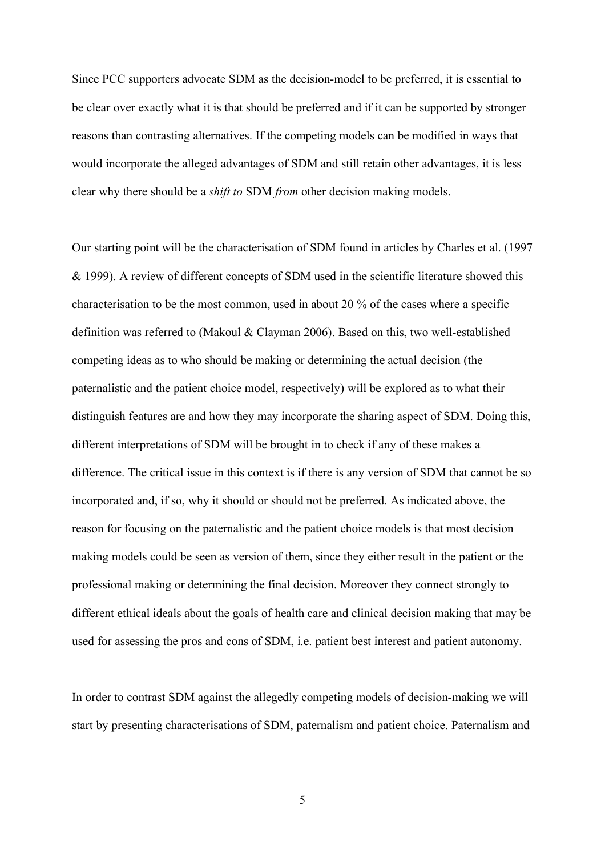Since PCC supporters advocate SDM as the decision-model to be preferred, it is essential to be clear over exactly what it is that should be preferred and if it can be supported by stronger reasons than contrasting alternatives. If the competing models can be modified in ways that would incorporate the alleged advantages of SDM and still retain other advantages, it is less clear why there should be a *shift to* SDM *from* other decision making models.

Our starting point will be the characterisation of SDM found in articles by Charles et al. (1997 & 1999). A review of different concepts of SDM used in the scientific literature showed this characterisation to be the most common, used in about 20 % of the cases where a specific definition was referred to (Makoul & Clayman 2006). Based on this, two well-established competing ideas as to who should be making or determining the actual decision (the paternalistic and the patient choice model, respectively) will be explored as to what their distinguish features are and how they may incorporate the sharing aspect of SDM. Doing this, different interpretations of SDM will be brought in to check if any of these makes a difference. The critical issue in this context is if there is any version of SDM that cannot be so incorporated and, if so, why it should or should not be preferred. As indicated above, the reason for focusing on the paternalistic and the patient choice models is that most decision making models could be seen as version of them, since they either result in the patient or the professional making or determining the final decision. Moreover they connect strongly to different ethical ideals about the goals of health care and clinical decision making that may be used for assessing the pros and cons of SDM, i.e. patient best interest and patient autonomy.

In order to contrast SDM against the allegedly competing models of decision-making we will start by presenting characterisations of SDM, paternalism and patient choice. Paternalism and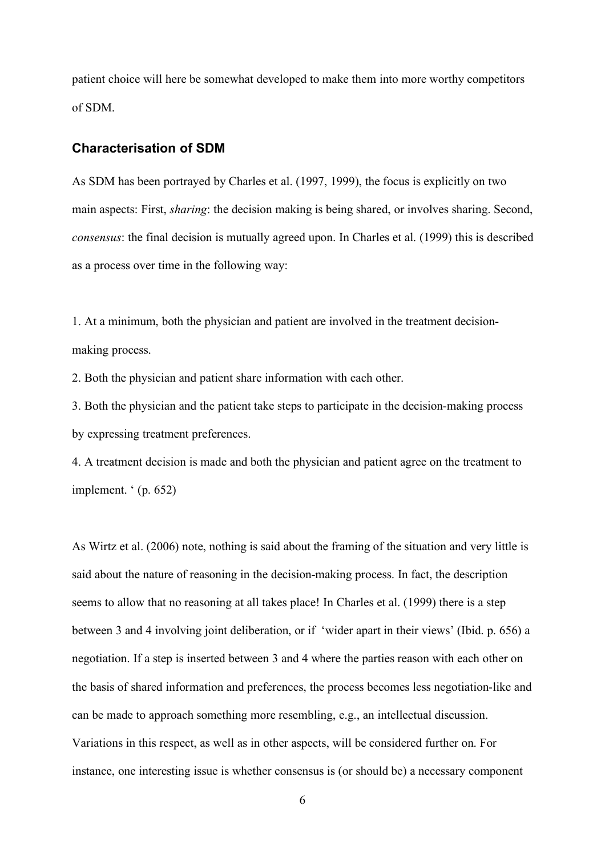patient choice will here be somewhat developed to make them into more worthy competitors of SDM.

#### **Characterisation of SDM**

As SDM has been portrayed by Charles et al. (1997, 1999), the focus is explicitly on two main aspects: First, *sharing*: the decision making is being shared, or involves sharing. Second, *consensus*: the final decision is mutually agreed upon. In Charles et al. (1999) this is described as a process over time in the following way:

1. At a minimum, both the physician and patient are involved in the treatment decisionmaking process.

2. Both the physician and patient share information with each other.

3. Both the physician and the patient take steps to participate in the decision-making process by expressing treatment preferences.

4. A treatment decision is made and both the physician and patient agree on the treatment to implement. ' (p. 652)

As Wirtz et al. (2006) note, nothing is said about the framing of the situation and very little is said about the nature of reasoning in the decision-making process. In fact, the description seems to allow that no reasoning at all takes place! In Charles et al. (1999) there is a step between 3 and 4 involving joint deliberation, or if 'wider apart in their views' (Ibid. p. 656) a negotiation. If a step is inserted between 3 and 4 where the parties reason with each other on the basis of shared information and preferences, the process becomes less negotiation-like and can be made to approach something more resembling, e.g., an intellectual discussion. Variations in this respect, as well as in other aspects, will be considered further on. For instance, one interesting issue is whether consensus is (or should be) a necessary component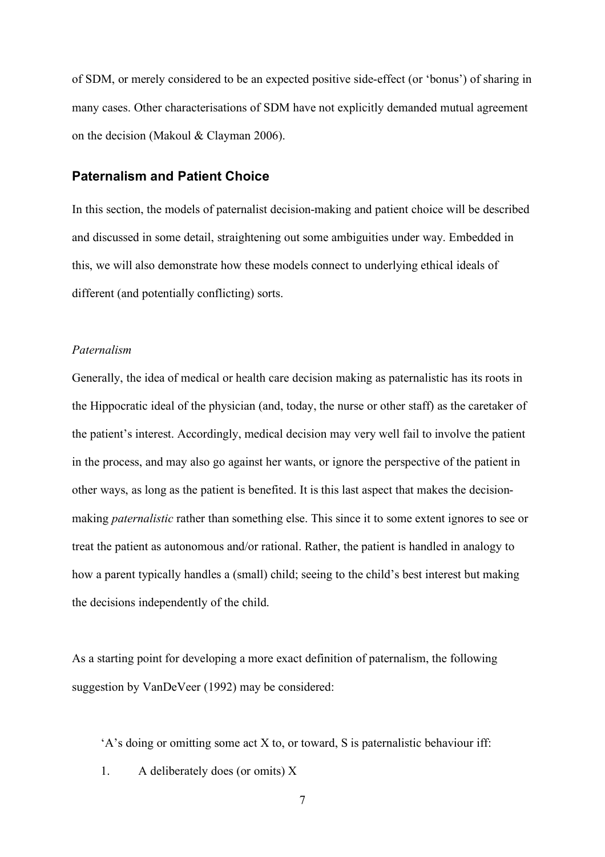of SDM, or merely considered to be an expected positive side-effect (or 'bonus') of sharing in many cases. Other characterisations of SDM have not explicitly demanded mutual agreement on the decision (Makoul & Clayman 2006).

### **Paternalism and Patient Choice**

In this section, the models of paternalist decision-making and patient choice will be described and discussed in some detail, straightening out some ambiguities under way. Embedded in this, we will also demonstrate how these models connect to underlying ethical ideals of different (and potentially conflicting) sorts.

#### *Paternalism*

Generally, the idea of medical or health care decision making as paternalistic has its roots in the Hippocratic ideal of the physician (and, today, the nurse or other staff) as the caretaker of the patient's interest. Accordingly, medical decision may very well fail to involve the patient in the process, and may also go against her wants, or ignore the perspective of the patient in other ways, as long as the patient is benefited. It is this last aspect that makes the decisionmaking *paternalistic* rather than something else. This since it to some extent ignores to see or treat the patient as autonomous and/or rational. Rather, the patient is handled in analogy to how a parent typically handles a (small) child; seeing to the child's best interest but making the decisions independently of the child.

As a starting point for developing a more exact definition of paternalism, the following suggestion by VanDeVeer (1992) may be considered:

'A's doing or omitting some act X to, or toward, S is paternalistic behaviour iff:

1. A deliberately does (or omits) X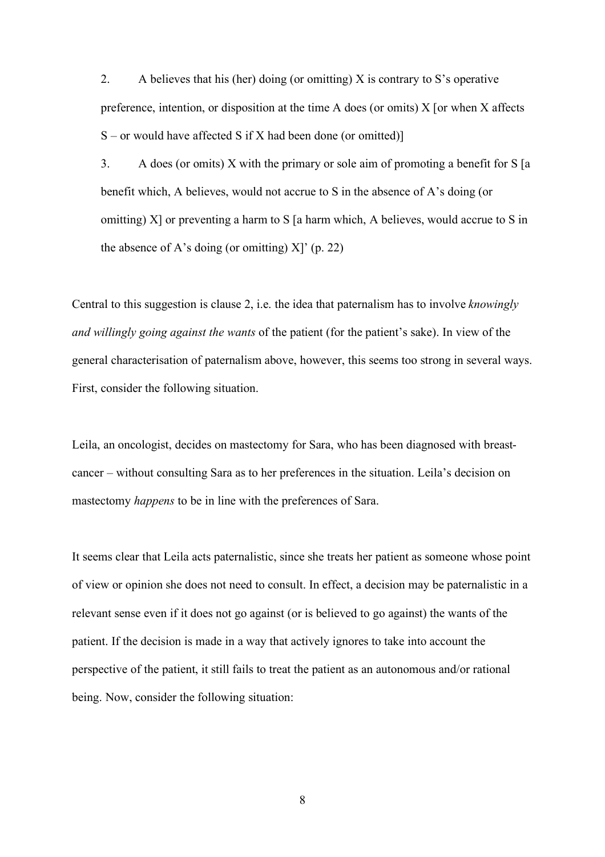2. A believes that his (her) doing (or omitting) X is contrary to S's operative preference, intention, or disposition at the time A does (or omits) X [or when X affects S – or would have affected S if X had been done (or omitted)]

3. A does (or omits) X with the primary or sole aim of promoting a benefit for S [a benefit which, A believes, would not accrue to S in the absence of A's doing (or omitting) X] or preventing a harm to S [a harm which, A believes, would accrue to S in the absence of A's doing (or omitting)  $X$ ]' (p. 22)

Central to this suggestion is clause 2, i.e. the idea that paternalism has to involve *knowingly and willingly going against the wants* of the patient (for the patient's sake). In view of the general characterisation of paternalism above, however, this seems too strong in several ways. First, consider the following situation.

Leila, an oncologist, decides on mastectomy for Sara, who has been diagnosed with breastcancer – without consulting Sara as to her preferences in the situation. Leila's decision on mastectomy *happens* to be in line with the preferences of Sara.

It seems clear that Leila acts paternalistic, since she treats her patient as someone whose point of view or opinion she does not need to consult. In effect, a decision may be paternalistic in a relevant sense even if it does not go against (or is believed to go against) the wants of the patient. If the decision is made in a way that actively ignores to take into account the perspective of the patient, it still fails to treat the patient as an autonomous and/or rational being. Now, consider the following situation: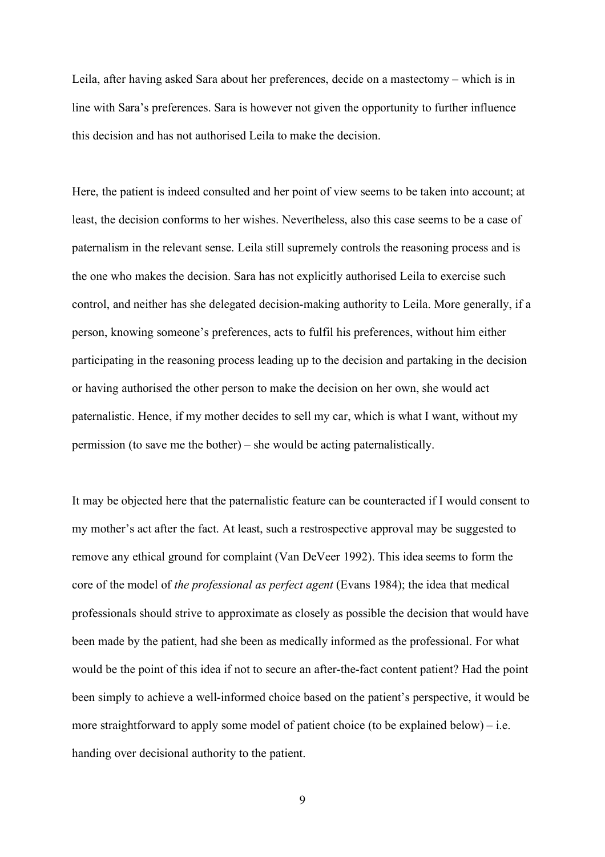Leila, after having asked Sara about her preferences, decide on a mastectomy – which is in line with Sara's preferences. Sara is however not given the opportunity to further influence this decision and has not authorised Leila to make the decision.

Here, the patient is indeed consulted and her point of view seems to be taken into account; at least, the decision conforms to her wishes. Nevertheless, also this case seems to be a case of paternalism in the relevant sense. Leila still supremely controls the reasoning process and is the one who makes the decision. Sara has not explicitly authorised Leila to exercise such control, and neither has she delegated decision-making authority to Leila. More generally, if a person, knowing someone's preferences, acts to fulfil his preferences, without him either participating in the reasoning process leading up to the decision and partaking in the decision or having authorised the other person to make the decision on her own, she would act paternalistic. Hence, if my mother decides to sell my car, which is what I want, without my permission (to save me the bother) – she would be acting paternalistically.

It may be objected here that the paternalistic feature can be counteracted if I would consent to my mother's act after the fact. At least, such a restrospective approval may be suggested to remove any ethical ground for complaint (Van DeVeer 1992). This idea seems to form the core of the model of *the professional as perfect agent* (Evans 1984); the idea that medical professionals should strive to approximate as closely as possible the decision that would have been made by the patient, had she been as medically informed as the professional. For what would be the point of this idea if not to secure an after-the-fact content patient? Had the point been simply to achieve a well-informed choice based on the patient's perspective, it would be more straightforward to apply some model of patient choice (to be explained below) – i.e. handing over decisional authority to the patient.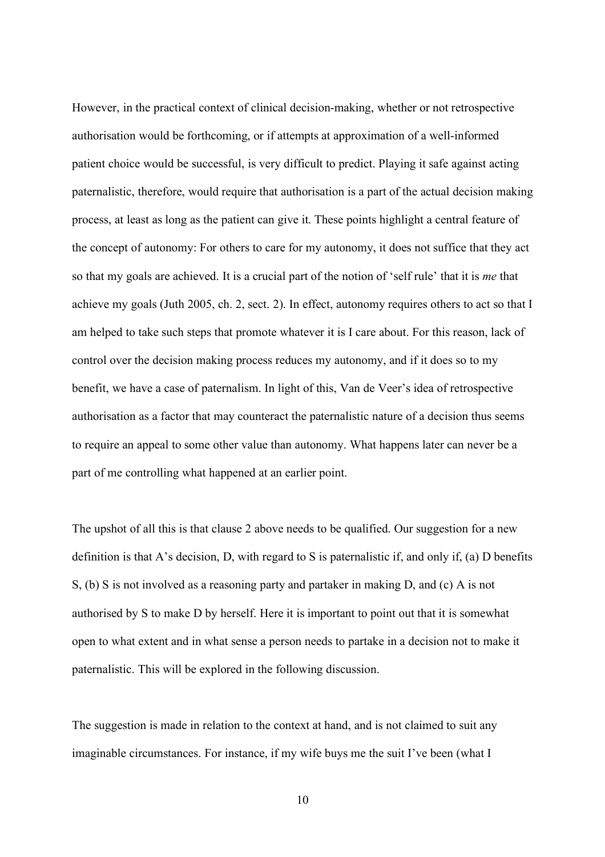However, in the practical context of clinical decision-making, whether or not retrospective authorisation would be forthcoming, or if attempts at approximation of a well-informed patient choice would be successful, is very difficult to predict. Playing it safe against acting paternalistic, therefore, would require that authorisation is a part of the actual decision making process, at least as long as the patient can give it. These points highlight a central feature of the concept of autonomy: For others to care for my autonomy, it does not suffice that they act so that my goals are achieved. It is a crucial part of the notion of 'self rule' that it is *me* that achieve my goals (Juth 2005, ch. 2, sect. 2). In effect, autonomy requires others to act so that I am helped to take such steps that promote whatever it is I care about. For this reason, lack of control over the decision making process reduces my autonomy, and if it does so to my benefit, we have a case of paternalism. In light of this, Van de Veer's idea of retrospective authorisation as a factor that may counteract the paternalistic nature of a decision thus seems to require an appeal to some other value than autonomy. What happens later can never be a part of me controlling what happened at an earlier point.

The upshot of all this is that clause 2 above needs to be qualified. Our suggestion for a new definition is that A's decision, D, with regard to S is paternalistic if, and only if, (a) D benefits S, (b) S is not involved as a reasoning party and partaker in making D, and (c) A is not authorised by S to make D by herself. Here it is important to point out that it is somewhat open to what extent and in what sense a person needs to partake in a decision not to make it paternalistic. This will be explored in the following discussion.

The suggestion is made in relation to the context at hand, and is not claimed to suit any imaginable circumstances. For instance, if my wife buys me the suit I've been (what I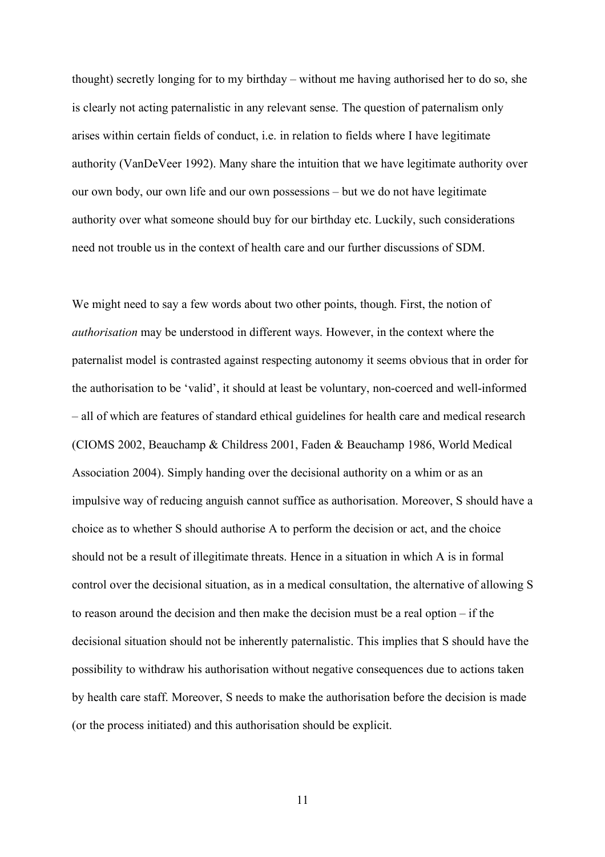thought) secretly longing for to my birthday – without me having authorised her to do so, she is clearly not acting paternalistic in any relevant sense. The question of paternalism only arises within certain fields of conduct, i.e. in relation to fields where I have legitimate authority (VanDeVeer 1992). Many share the intuition that we have legitimate authority over our own body, our own life and our own possessions – but we do not have legitimate authority over what someone should buy for our birthday etc. Luckily, such considerations need not trouble us in the context of health care and our further discussions of SDM.

We might need to say a few words about two other points, though. First, the notion of *authorisation* may be understood in different ways. However, in the context where the paternalist model is contrasted against respecting autonomy it seems obvious that in order for the authorisation to be 'valid', it should at least be voluntary, non-coerced and well-informed – all of which are features of standard ethical guidelines for health care and medical research (CIOMS 2002, Beauchamp & Childress 2001, Faden & Beauchamp 1986, World Medical Association 2004). Simply handing over the decisional authority on a whim or as an impulsive way of reducing anguish cannot suffice as authorisation. Moreover, S should have a choice as to whether S should authorise A to perform the decision or act, and the choice should not be a result of illegitimate threats. Hence in a situation in which A is in formal control over the decisional situation, as in a medical consultation, the alternative of allowing S to reason around the decision and then make the decision must be a real option – if the decisional situation should not be inherently paternalistic. This implies that S should have the possibility to withdraw his authorisation without negative consequences due to actions taken by health care staff. Moreover, S needs to make the authorisation before the decision is made (or the process initiated) and this authorisation should be explicit.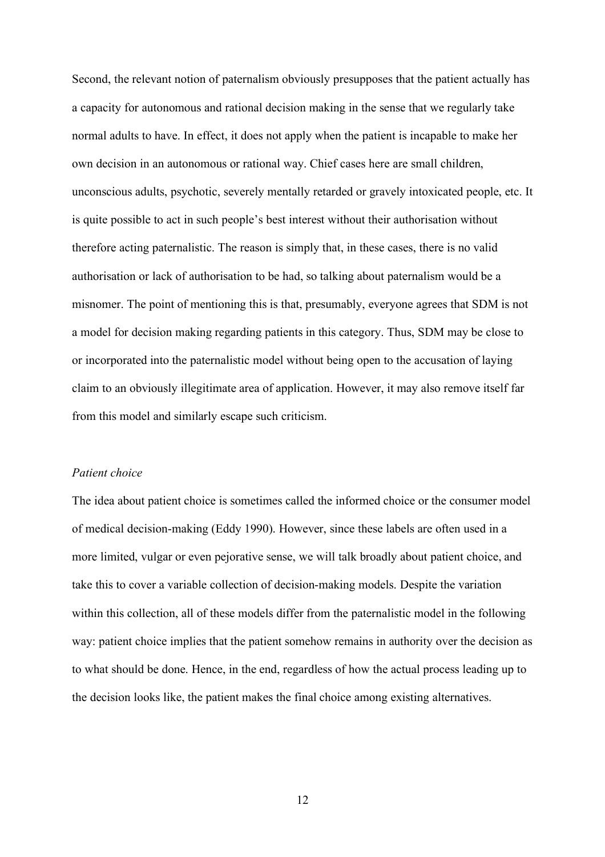Second, the relevant notion of paternalism obviously presupposes that the patient actually has a capacity for autonomous and rational decision making in the sense that we regularly take normal adults to have. In effect, it does not apply when the patient is incapable to make her own decision in an autonomous or rational way. Chief cases here are small children, unconscious adults, psychotic, severely mentally retarded or gravely intoxicated people, etc. It is quite possible to act in such people's best interest without their authorisation without therefore acting paternalistic. The reason is simply that, in these cases, there is no valid authorisation or lack of authorisation to be had, so talking about paternalism would be a misnomer. The point of mentioning this is that, presumably, everyone agrees that SDM is not a model for decision making regarding patients in this category. Thus, SDM may be close to or incorporated into the paternalistic model without being open to the accusation of laying claim to an obviously illegitimate area of application. However, it may also remove itself far from this model and similarly escape such criticism.

#### *Patient choice*

The idea about patient choice is sometimes called the informed choice or the consumer model of medical decision-making (Eddy 1990). However, since these labels are often used in a more limited, vulgar or even pejorative sense, we will talk broadly about patient choice, and take this to cover a variable collection of decision-making models. Despite the variation within this collection, all of these models differ from the paternalistic model in the following way: patient choice implies that the patient somehow remains in authority over the decision as to what should be done. Hence, in the end, regardless of how the actual process leading up to the decision looks like, the patient makes the final choice among existing alternatives.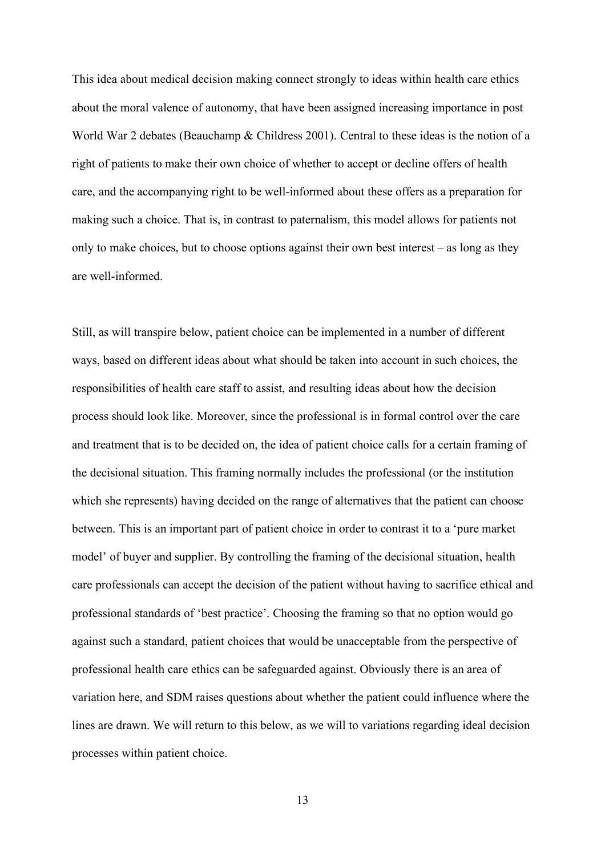This idea about medical decision making connect strongly to ideas within health care ethics about the moral valence of autonomy, that have been assigned increasing importance in post World War 2 debates (Beauchamp & Childress 2001). Central to these ideas is the notion of a right of patients to make their own choice of whether to accept or decline offers of health care, and the accompanying right to be well-informed about these offers as a preparation for making such a choice. That is, in contrast to paternalism, this model allows for patients not only to make choices, but to choose options against their own best interest – as long as they are well-informed.

Still, as will transpire below, patient choice can be implemented in a number of different ways, based on different ideas about what should be taken into account in such choices, the responsibilities of health care staff to assist, and resulting ideas about how the decision process should look like. Moreover, since the professional is in formal control over the care and treatment that is to be decided on, the idea of patient choice calls for a certain framing of the decisional situation. This framing normally includes the professional (or the institution which she represents) having decided on the range of alternatives that the patient can choose between. This is an important part of patient choice in order to contrast it to a 'pure market model' of buyer and supplier. By controlling the framing of the decisional situation, health care professionals can accept the decision of the patient without having to sacrifice ethical and professional standards of 'best practice'. Choosing the framing so that no option would go against such a standard, patient choices that would be unacceptable from the perspective of professional health care ethics can be safeguarded against. Obviously there is an area of variation here, and SDM raises questions about whether the patient could influence where the lines are drawn. We will return to this below, as we will to variations regarding ideal decision processes within patient choice.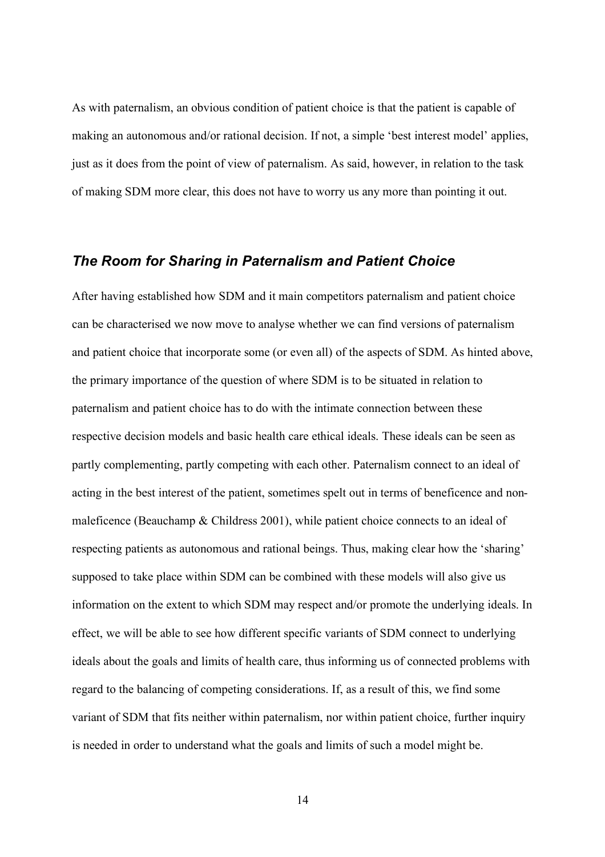As with paternalism, an obvious condition of patient choice is that the patient is capable of making an autonomous and/or rational decision. If not, a simple 'best interest model' applies, just as it does from the point of view of paternalism. As said, however, in relation to the task of making SDM more clear, this does not have to worry us any more than pointing it out.

## *The Room for Sharing in Paternalism and Patient Choice*

After having established how SDM and it main competitors paternalism and patient choice can be characterised we now move to analyse whether we can find versions of paternalism and patient choice that incorporate some (or even all) of the aspects of SDM. As hinted above, the primary importance of the question of where SDM is to be situated in relation to paternalism and patient choice has to do with the intimate connection between these respective decision models and basic health care ethical ideals. These ideals can be seen as partly complementing, partly competing with each other. Paternalism connect to an ideal of acting in the best interest of the patient, sometimes spelt out in terms of beneficence and nonmaleficence (Beauchamp & Childress 2001), while patient choice connects to an ideal of respecting patients as autonomous and rational beings. Thus, making clear how the 'sharing' supposed to take place within SDM can be combined with these models will also give us information on the extent to which SDM may respect and/or promote the underlying ideals. In effect, we will be able to see how different specific variants of SDM connect to underlying ideals about the goals and limits of health care, thus informing us of connected problems with regard to the balancing of competing considerations. If, as a result of this, we find some variant of SDM that fits neither within paternalism, nor within patient choice, further inquiry is needed in order to understand what the goals and limits of such a model might be.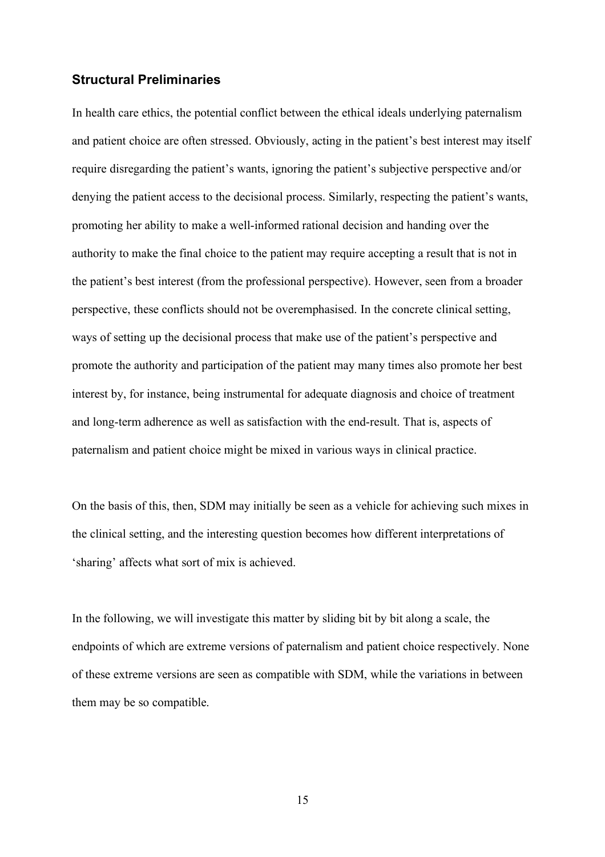## **Structural Preliminaries**

In health care ethics, the potential conflict between the ethical ideals underlying paternalism and patient choice are often stressed. Obviously, acting in the patient's best interest may itself require disregarding the patient's wants, ignoring the patient's subjective perspective and/or denying the patient access to the decisional process. Similarly, respecting the patient's wants, promoting her ability to make a well-informed rational decision and handing over the authority to make the final choice to the patient may require accepting a result that is not in the patient's best interest (from the professional perspective). However, seen from a broader perspective, these conflicts should not be overemphasised. In the concrete clinical setting, ways of setting up the decisional process that make use of the patient's perspective and promote the authority and participation of the patient may many times also promote her best interest by, for instance, being instrumental for adequate diagnosis and choice of treatment and long-term adherence as well as satisfaction with the end-result. That is, aspects of paternalism and patient choice might be mixed in various ways in clinical practice.

On the basis of this, then, SDM may initially be seen as a vehicle for achieving such mixes in the clinical setting, and the interesting question becomes how different interpretations of 'sharing' affects what sort of mix is achieved.

In the following, we will investigate this matter by sliding bit by bit along a scale, the endpoints of which are extreme versions of paternalism and patient choice respectively. None of these extreme versions are seen as compatible with SDM, while the variations in between them may be so compatible.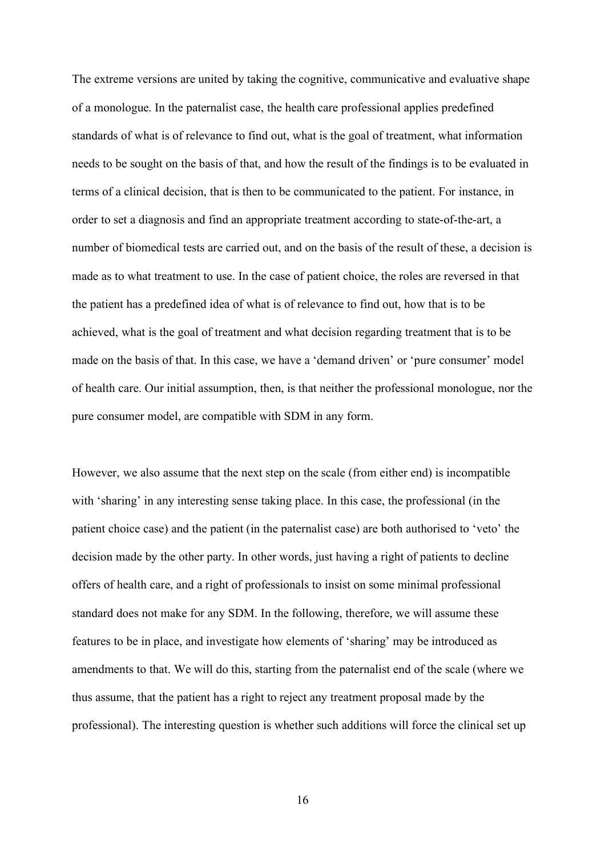The extreme versions are united by taking the cognitive, communicative and evaluative shape of a monologue. In the paternalist case, the health care professional applies predefined standards of what is of relevance to find out, what is the goal of treatment, what information needs to be sought on the basis of that, and how the result of the findings is to be evaluated in terms of a clinical decision, that is then to be communicated to the patient. For instance, in order to set a diagnosis and find an appropriate treatment according to state-of-the-art, a number of biomedical tests are carried out, and on the basis of the result of these, a decision is made as to what treatment to use. In the case of patient choice, the roles are reversed in that the patient has a predefined idea of what is of relevance to find out, how that is to be achieved, what is the goal of treatment and what decision regarding treatment that is to be made on the basis of that. In this case, we have a 'demand driven' or 'pure consumer' model of health care. Our initial assumption, then, is that neither the professional monologue, nor the pure consumer model, are compatible with SDM in any form.

However, we also assume that the next step on the scale (from either end) is incompatible with 'sharing' in any interesting sense taking place. In this case, the professional (in the patient choice case) and the patient (in the paternalist case) are both authorised to 'veto' the decision made by the other party. In other words, just having a right of patients to decline offers of health care, and a right of professionals to insist on some minimal professional standard does not make for any SDM. In the following, therefore, we will assume these features to be in place, and investigate how elements of 'sharing' may be introduced as amendments to that. We will do this, starting from the paternalist end of the scale (where we thus assume, that the patient has a right to reject any treatment proposal made by the professional). The interesting question is whether such additions will force the clinical set up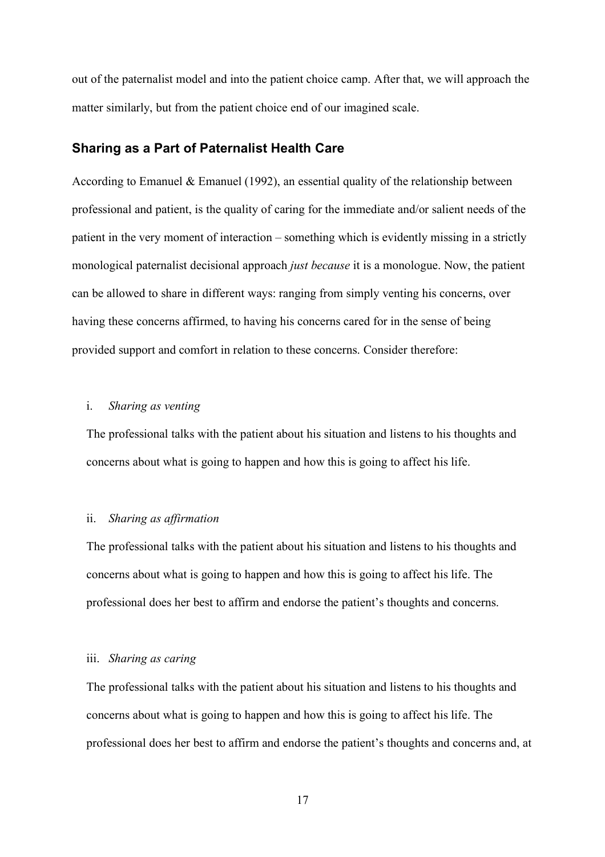out of the paternalist model and into the patient choice camp. After that, we will approach the matter similarly, but from the patient choice end of our imagined scale.

#### **Sharing as a Part of Paternalist Health Care**

According to Emanuel  $&$  Emanuel (1992), an essential quality of the relationship between professional and patient, is the quality of caring for the immediate and/or salient needs of the patient in the very moment of interaction – something which is evidently missing in a strictly monological paternalist decisional approach *just because* it is a monologue. Now, the patient can be allowed to share in different ways: ranging from simply venting his concerns, over having these concerns affirmed, to having his concerns cared for in the sense of being provided support and comfort in relation to these concerns. Consider therefore:

#### i. *Sharing as venting*

The professional talks with the patient about his situation and listens to his thoughts and concerns about what is going to happen and how this is going to affect his life.

#### ii. *Sharing as affirmation*

The professional talks with the patient about his situation and listens to his thoughts and concerns about what is going to happen and how this is going to affect his life. The professional does her best to affirm and endorse the patient's thoughts and concerns.

#### iii. *Sharing as caring*

The professional talks with the patient about his situation and listens to his thoughts and concerns about what is going to happen and how this is going to affect his life. The professional does her best to affirm and endorse the patient's thoughts and concerns and, at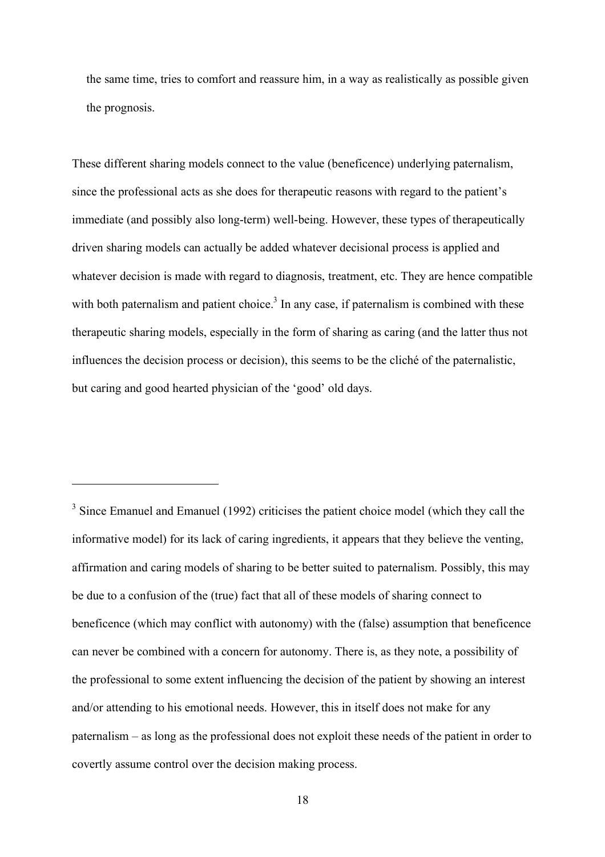the same time, tries to comfort and reassure him, in a way as realistically as possible given the prognosis.

These different sharing models connect to the value (beneficence) underlying paternalism, since the professional acts as she does for therapeutic reasons with regard to the patient's immediate (and possibly also long-term) well-being. However, these types of therapeutically driven sharing models can actually be added whatever decisional process is applied and whatever decision is made with regard to diagnosis, treatment, etc. They are hence compatible with both paternalism and patient choice.<sup>3</sup> In any case, if paternalism is combined with these therapeutic sharing models, especially in the form of sharing as caring (and the latter thus not influences the decision process or decision), this seems to be the cliché of the paternalistic, but caring and good hearted physician of the 'good' old days.

 $3$  Since Emanuel and Emanuel (1992) criticises the patient choice model (which they call the informative model) for its lack of caring ingredients, it appears that they believe the venting, affirmation and caring models of sharing to be better suited to paternalism. Possibly, this may be due to a confusion of the (true) fact that all of these models of sharing connect to beneficence (which may conflict with autonomy) with the (false) assumption that beneficence can never be combined with a concern for autonomy. There is, as they note, a possibility of the professional to some extent influencing the decision of the patient by showing an interest and/or attending to his emotional needs. However, this in itself does not make for any paternalism – as long as the professional does not exploit these needs of the patient in order to covertly assume control over the decision making process.

 $\overline{a}$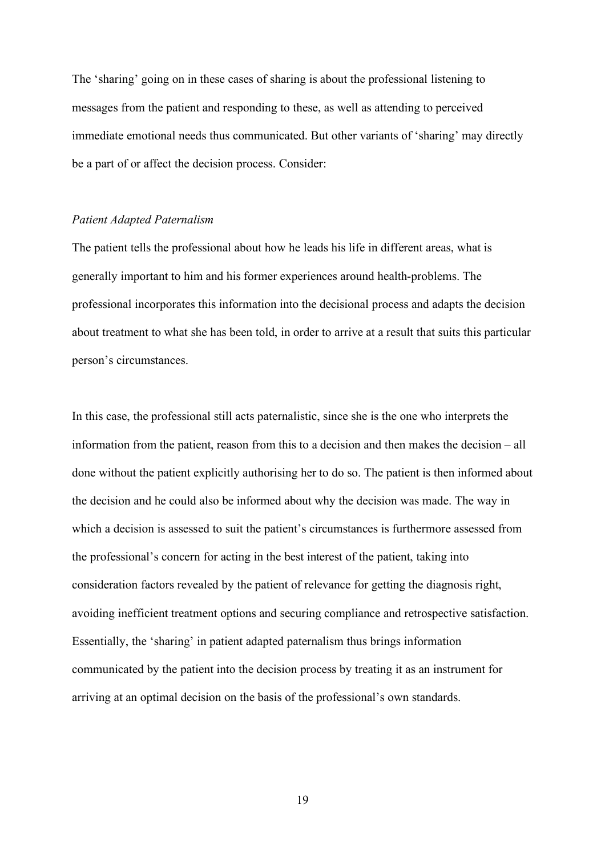The 'sharing' going on in these cases of sharing is about the professional listening to messages from the patient and responding to these, as well as attending to perceived immediate emotional needs thus communicated. But other variants of 'sharing' may directly be a part of or affect the decision process. Consider:

#### *Patient Adapted Paternalism*

The patient tells the professional about how he leads his life in different areas, what is generally important to him and his former experiences around health-problems. The professional incorporates this information into the decisional process and adapts the decision about treatment to what she has been told, in order to arrive at a result that suits this particular person's circumstances.

In this case, the professional still acts paternalistic, since she is the one who interprets the information from the patient, reason from this to a decision and then makes the decision – all done without the patient explicitly authorising her to do so. The patient is then informed about the decision and he could also be informed about why the decision was made. The way in which a decision is assessed to suit the patient's circumstances is furthermore assessed from the professional's concern for acting in the best interest of the patient, taking into consideration factors revealed by the patient of relevance for getting the diagnosis right, avoiding inefficient treatment options and securing compliance and retrospective satisfaction. Essentially, the 'sharing' in patient adapted paternalism thus brings information communicated by the patient into the decision process by treating it as an instrument for arriving at an optimal decision on the basis of the professional's own standards.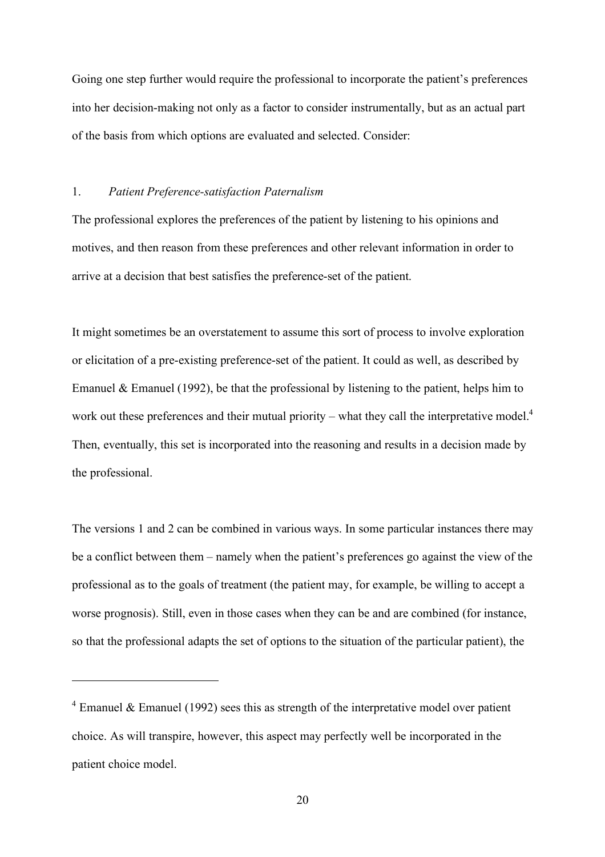Going one step further would require the professional to incorporate the patient's preferences into her decision-making not only as a factor to consider instrumentally, but as an actual part of the basis from which options are evaluated and selected. Consider:

#### 1. *Patient Preference-satisfaction Paternalism*

 $\overline{a}$ 

The professional explores the preferences of the patient by listening to his opinions and motives, and then reason from these preferences and other relevant information in order to arrive at a decision that best satisfies the preference-set of the patient.

It might sometimes be an overstatement to assume this sort of process to involve exploration or elicitation of a pre-existing preference-set of the patient. It could as well, as described by Emanuel  $&$  Emanuel (1992), be that the professional by listening to the patient, helps him to work out these preferences and their mutual priority – what they call the interpretative model. $4$ Then, eventually, this set is incorporated into the reasoning and results in a decision made by the professional.

The versions 1 and 2 can be combined in various ways. In some particular instances there may be a conflict between them – namely when the patient's preferences go against the view of the professional as to the goals of treatment (the patient may, for example, be willing to accept a worse prognosis). Still, even in those cases when they can be and are combined (for instance, so that the professional adapts the set of options to the situation of the particular patient), the

 $4$  Emanuel & Emanuel (1992) sees this as strength of the interpretative model over patient choice. As will transpire, however, this aspect may perfectly well be incorporated in the patient choice model.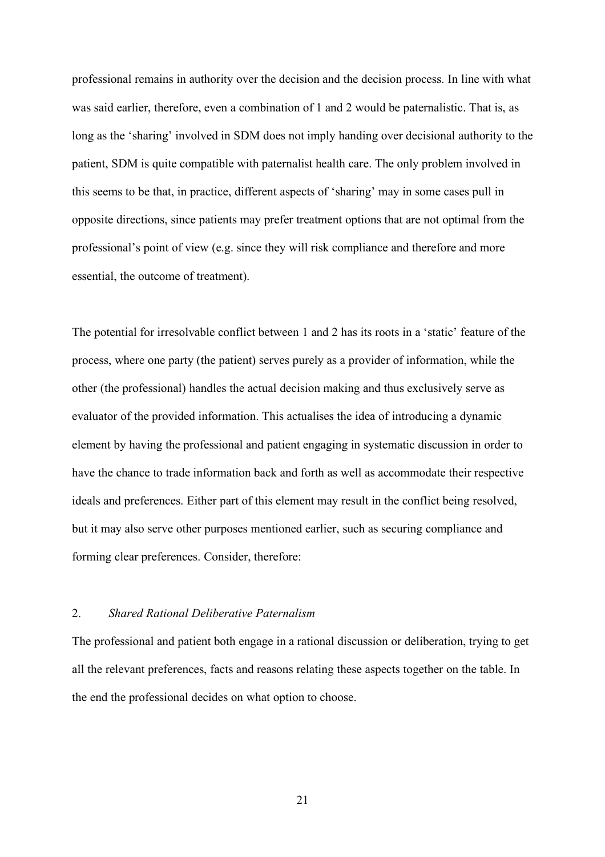professional remains in authority over the decision and the decision process. In line with what was said earlier, therefore, even a combination of 1 and 2 would be paternalistic. That is, as long as the 'sharing' involved in SDM does not imply handing over decisional authority to the patient, SDM is quite compatible with paternalist health care. The only problem involved in this seems to be that, in practice, different aspects of 'sharing' may in some cases pull in opposite directions, since patients may prefer treatment options that are not optimal from the professional's point of view (e.g. since they will risk compliance and therefore and more essential, the outcome of treatment).

The potential for irresolvable conflict between 1 and 2 has its roots in a 'static' feature of the process, where one party (the patient) serves purely as a provider of information, while the other (the professional) handles the actual decision making and thus exclusively serve as evaluator of the provided information. This actualises the idea of introducing a dynamic element by having the professional and patient engaging in systematic discussion in order to have the chance to trade information back and forth as well as accommodate their respective ideals and preferences. Either part of this element may result in the conflict being resolved, but it may also serve other purposes mentioned earlier, such as securing compliance and forming clear preferences. Consider, therefore:

#### 2. *Shared Rational Deliberative Paternalism*

The professional and patient both engage in a rational discussion or deliberation, trying to get all the relevant preferences, facts and reasons relating these aspects together on the table. In the end the professional decides on what option to choose.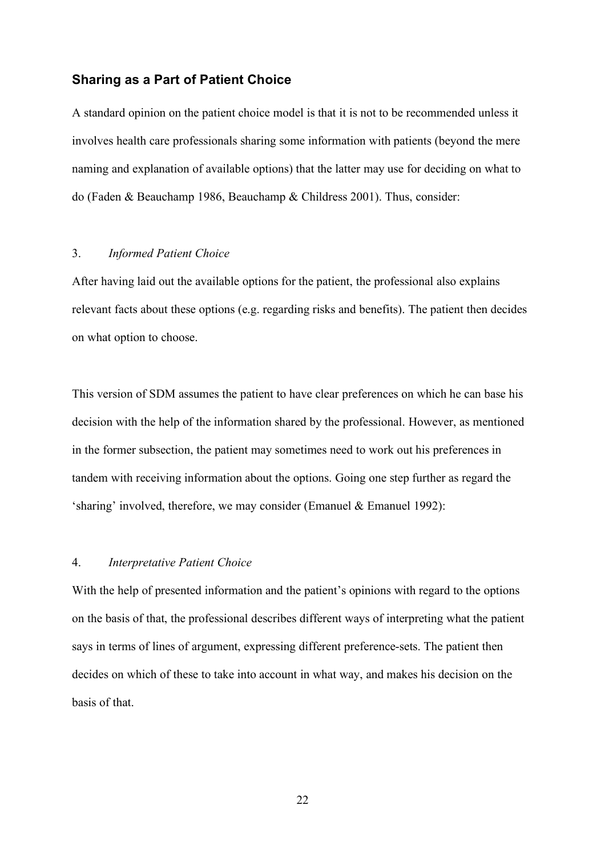#### **Sharing as a Part of Patient Choice**

A standard opinion on the patient choice model is that it is not to be recommended unless it involves health care professionals sharing some information with patients (beyond the mere naming and explanation of available options) that the latter may use for deciding on what to do (Faden & Beauchamp 1986, Beauchamp & Childress 2001). Thus, consider:

#### 3. *Informed Patient Choice*

After having laid out the available options for the patient, the professional also explains relevant facts about these options (e.g. regarding risks and benefits). The patient then decides on what option to choose.

This version of SDM assumes the patient to have clear preferences on which he can base his decision with the help of the information shared by the professional. However, as mentioned in the former subsection, the patient may sometimes need to work out his preferences in tandem with receiving information about the options. Going one step further as regard the 'sharing' involved, therefore, we may consider (Emanuel & Emanuel 1992):

#### 4. *Interpretative Patient Choice*

With the help of presented information and the patient's opinions with regard to the options on the basis of that, the professional describes different ways of interpreting what the patient says in terms of lines of argument, expressing different preference-sets. The patient then decides on which of these to take into account in what way, and makes his decision on the basis of that.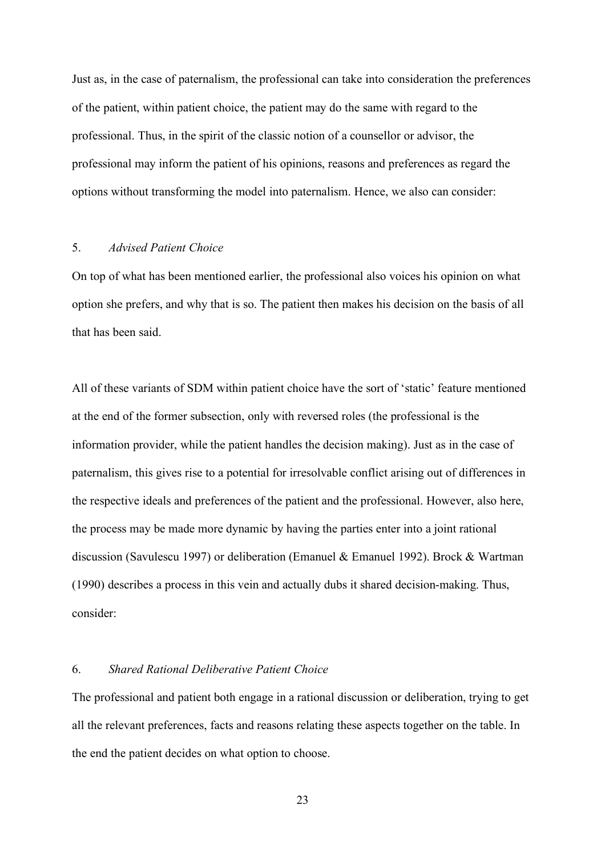Just as, in the case of paternalism, the professional can take into consideration the preferences of the patient, within patient choice, the patient may do the same with regard to the professional. Thus, in the spirit of the classic notion of a counsellor or advisor, the professional may inform the patient of his opinions, reasons and preferences as regard the options without transforming the model into paternalism. Hence, we also can consider:

#### 5. *Advised Patient Choice*

On top of what has been mentioned earlier, the professional also voices his opinion on what option she prefers, and why that is so. The patient then makes his decision on the basis of all that has been said.

All of these variants of SDM within patient choice have the sort of 'static' feature mentioned at the end of the former subsection, only with reversed roles (the professional is the information provider, while the patient handles the decision making). Just as in the case of paternalism, this gives rise to a potential for irresolvable conflict arising out of differences in the respective ideals and preferences of the patient and the professional. However, also here, the process may be made more dynamic by having the parties enter into a joint rational discussion (Savulescu 1997) or deliberation (Emanuel & Emanuel 1992). Brock & Wartman (1990) describes a process in this vein and actually dubs it shared decision-making. Thus, consider:

#### 6. *Shared Rational Deliberative Patient Choice*

The professional and patient both engage in a rational discussion or deliberation, trying to get all the relevant preferences, facts and reasons relating these aspects together on the table. In the end the patient decides on what option to choose.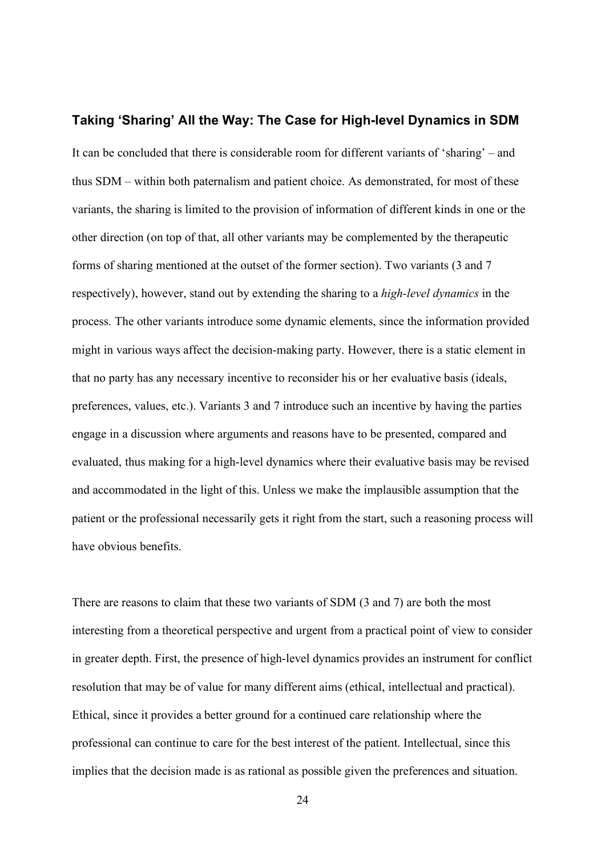#### **Taking 'Sharing' All the Way: The Case for High-level Dynamics in SDM**

It can be concluded that there is considerable room for different variants of 'sharing' – and thus SDM – within both paternalism and patient choice. As demonstrated, for most of these variants, the sharing is limited to the provision of information of different kinds in one or the other direction (on top of that, all other variants may be complemented by the therapeutic forms of sharing mentioned at the outset of the former section). Two variants (3 and 7 respectively), however, stand out by extending the sharing to a *high-level dynamics* in the process. The other variants introduce some dynamic elements, since the information provided might in various ways affect the decision-making party. However, there is a static element in that no party has any necessary incentive to reconsider his or her evaluative basis (ideals, preferences, values, etc.). Variants 3 and 7 introduce such an incentive by having the parties engage in a discussion where arguments and reasons have to be presented, compared and evaluated, thus making for a high-level dynamics where their evaluative basis may be revised and accommodated in the light of this. Unless we make the implausible assumption that the patient or the professional necessarily gets it right from the start, such a reasoning process will have obvious benefits.

There are reasons to claim that these two variants of SDM (3 and 7) are both the most interesting from a theoretical perspective and urgent from a practical point of view to consider in greater depth. First, the presence of high-level dynamics provides an instrument for conflict resolution that may be of value for many different aims (ethical, intellectual and practical). Ethical, since it provides a better ground for a continued care relationship where the professional can continue to care for the best interest of the patient. Intellectual, since this implies that the decision made is as rational as possible given the preferences and situation.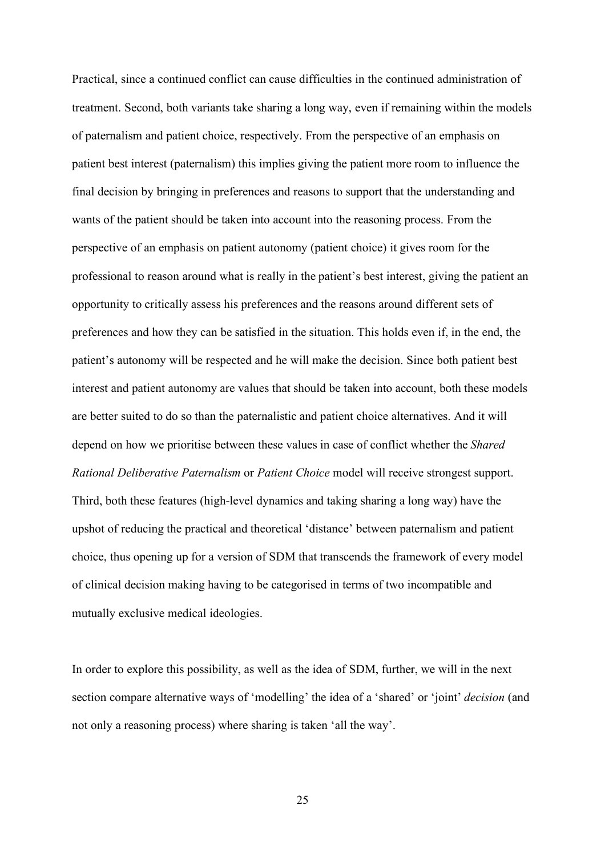Practical, since a continued conflict can cause difficulties in the continued administration of treatment. Second, both variants take sharing a long way, even if remaining within the models of paternalism and patient choice, respectively. From the perspective of an emphasis on patient best interest (paternalism) this implies giving the patient more room to influence the final decision by bringing in preferences and reasons to support that the understanding and wants of the patient should be taken into account into the reasoning process. From the perspective of an emphasis on patient autonomy (patient choice) it gives room for the professional to reason around what is really in the patient's best interest, giving the patient an opportunity to critically assess his preferences and the reasons around different sets of preferences and how they can be satisfied in the situation. This holds even if, in the end, the patient's autonomy will be respected and he will make the decision. Since both patient best interest and patient autonomy are values that should be taken into account, both these models are better suited to do so than the paternalistic and patient choice alternatives. And it will depend on how we prioritise between these values in case of conflict whether the *Shared Rational Deliberative Paternalism* or *Patient Choice* model will receive strongest support. Third, both these features (high-level dynamics and taking sharing a long way) have the upshot of reducing the practical and theoretical 'distance' between paternalism and patient choice, thus opening up for a version of SDM that transcends the framework of every model of clinical decision making having to be categorised in terms of two incompatible and mutually exclusive medical ideologies.

In order to explore this possibility, as well as the idea of SDM, further, we will in the next section compare alternative ways of 'modelling' the idea of a 'shared' or 'joint' *decision* (and not only a reasoning process) where sharing is taken 'all the way'.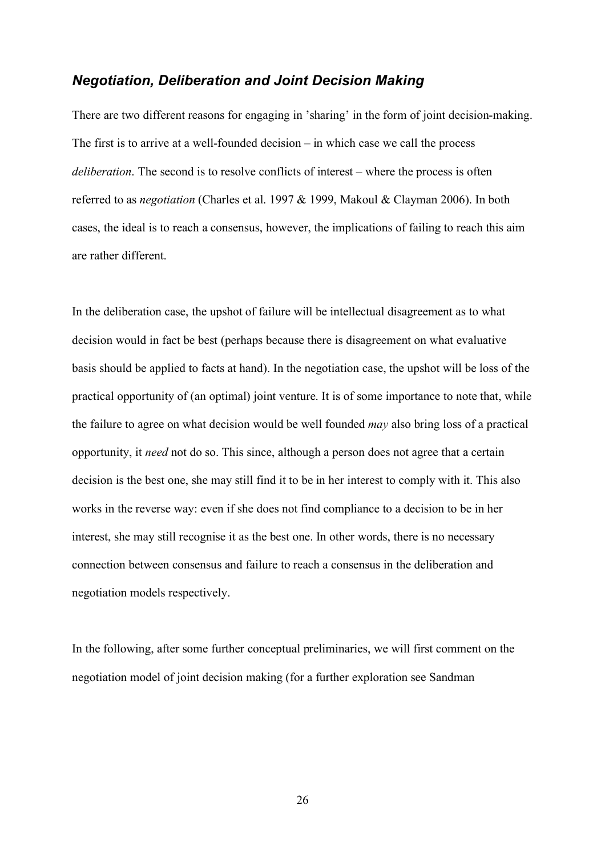# *Negotiation, Deliberation and Joint Decision Making*

There are two different reasons for engaging in 'sharing' in the form of joint decision-making. The first is to arrive at a well-founded decision – in which case we call the process *deliberation*. The second is to resolve conflicts of interest – where the process is often referred to as *negotiation* (Charles et al. 1997 & 1999, Makoul & Clayman 2006). In both cases, the ideal is to reach a consensus, however, the implications of failing to reach this aim are rather different.

In the deliberation case, the upshot of failure will be intellectual disagreement as to what decision would in fact be best (perhaps because there is disagreement on what evaluative basis should be applied to facts at hand). In the negotiation case, the upshot will be loss of the practical opportunity of (an optimal) joint venture. It is of some importance to note that, while the failure to agree on what decision would be well founded *may* also bring loss of a practical opportunity, it *need* not do so. This since, although a person does not agree that a certain decision is the best one, she may still find it to be in her interest to comply with it. This also works in the reverse way: even if she does not find compliance to a decision to be in her interest, she may still recognise it as the best one. In other words, there is no necessary connection between consensus and failure to reach a consensus in the deliberation and negotiation models respectively.

In the following, after some further conceptual preliminaries, we will first comment on the negotiation model of joint decision making (for a further exploration see Sandman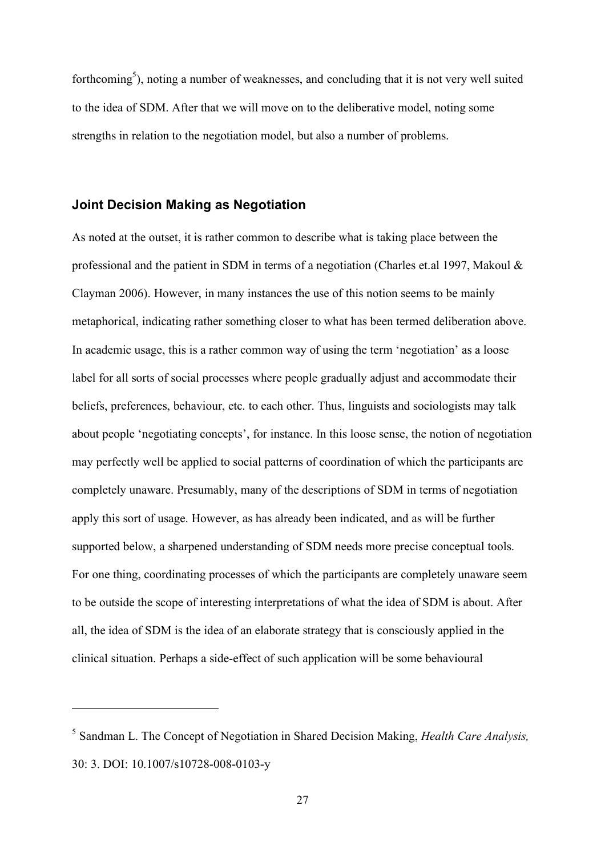forthcoming<sup>5</sup>), noting a number of weaknesses, and concluding that it is not very well suited to the idea of SDM. After that we will move on to the deliberative model, noting some strengths in relation to the negotiation model, but also a number of problems.

#### **Joint Decision Making as Negotiation**

 $\overline{a}$ 

As noted at the outset, it is rather common to describe what is taking place between the professional and the patient in SDM in terms of a negotiation (Charles et.al 1997, Makoul & Clayman 2006). However, in many instances the use of this notion seems to be mainly metaphorical, indicating rather something closer to what has been termed deliberation above. In academic usage, this is a rather common way of using the term 'negotiation' as a loose label for all sorts of social processes where people gradually adjust and accommodate their beliefs, preferences, behaviour, etc. to each other. Thus, linguists and sociologists may talk about people 'negotiating concepts', for instance. In this loose sense, the notion of negotiation may perfectly well be applied to social patterns of coordination of which the participants are completely unaware. Presumably, many of the descriptions of SDM in terms of negotiation apply this sort of usage. However, as has already been indicated, and as will be further supported below, a sharpened understanding of SDM needs more precise conceptual tools. For one thing, coordinating processes of which the participants are completely unaware seem to be outside the scope of interesting interpretations of what the idea of SDM is about. After all, the idea of SDM is the idea of an elaborate strategy that is consciously applied in the clinical situation. Perhaps a side-effect of such application will be some behavioural

<sup>5</sup> Sandman L. The Concept of Negotiation in Shared Decision Making, *Health Care Analysis,*  30: 3. DOI: 10.1007/s10728-008-0103-y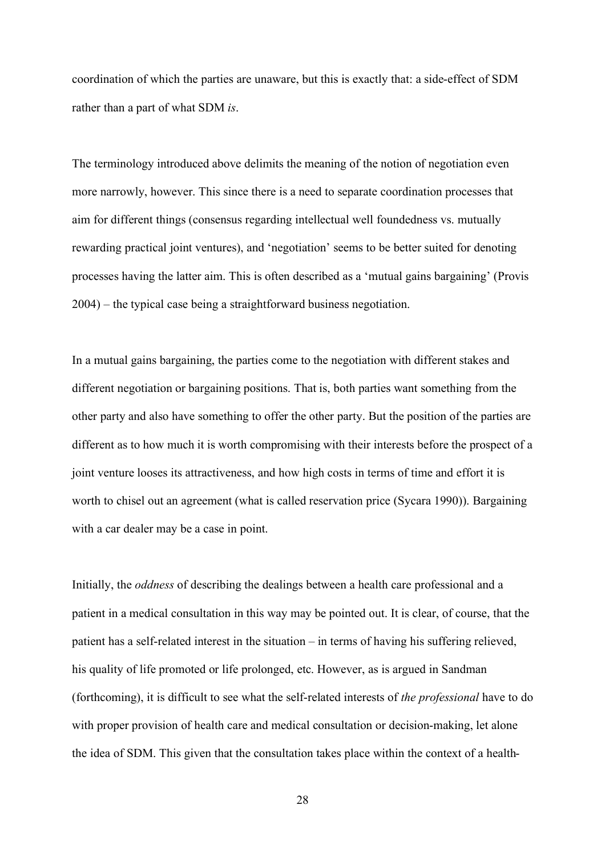coordination of which the parties are unaware, but this is exactly that: a side-effect of SDM rather than a part of what SDM *is*.

The terminology introduced above delimits the meaning of the notion of negotiation even more narrowly, however. This since there is a need to separate coordination processes that aim for different things (consensus regarding intellectual well foundedness vs. mutually rewarding practical joint ventures), and 'negotiation' seems to be better suited for denoting processes having the latter aim. This is often described as a 'mutual gains bargaining' (Provis 2004) – the typical case being a straightforward business negotiation.

In a mutual gains bargaining, the parties come to the negotiation with different stakes and different negotiation or bargaining positions. That is, both parties want something from the other party and also have something to offer the other party. But the position of the parties are different as to how much it is worth compromising with their interests before the prospect of a joint venture looses its attractiveness, and how high costs in terms of time and effort it is worth to chisel out an agreement (what is called reservation price (Sycara 1990)). Bargaining with a car dealer may be a case in point.

Initially, the *oddness* of describing the dealings between a health care professional and a patient in a medical consultation in this way may be pointed out. It is clear, of course, that the patient has a self-related interest in the situation – in terms of having his suffering relieved, his quality of life promoted or life prolonged, etc. However, as is argued in Sandman (forthcoming), it is difficult to see what the self-related interests of *the professional* have to do with proper provision of health care and medical consultation or decision-making, let alone the idea of SDM. This given that the consultation takes place within the context of a health-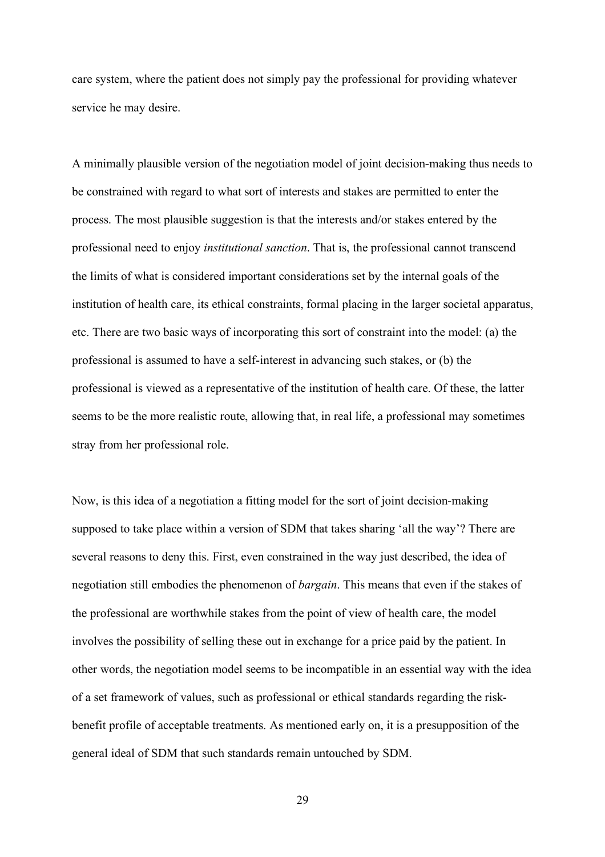care system, where the patient does not simply pay the professional for providing whatever service he may desire.

A minimally plausible version of the negotiation model of joint decision-making thus needs to be constrained with regard to what sort of interests and stakes are permitted to enter the process. The most plausible suggestion is that the interests and/or stakes entered by the professional need to enjoy *institutional sanction*. That is, the professional cannot transcend the limits of what is considered important considerations set by the internal goals of the institution of health care, its ethical constraints, formal placing in the larger societal apparatus, etc. There are two basic ways of incorporating this sort of constraint into the model: (a) the professional is assumed to have a self-interest in advancing such stakes, or (b) the professional is viewed as a representative of the institution of health care. Of these, the latter seems to be the more realistic route, allowing that, in real life, a professional may sometimes stray from her professional role.

Now, is this idea of a negotiation a fitting model for the sort of joint decision-making supposed to take place within a version of SDM that takes sharing 'all the way'? There are several reasons to deny this. First, even constrained in the way just described, the idea of negotiation still embodies the phenomenon of *bargain*. This means that even if the stakes of the professional are worthwhile stakes from the point of view of health care, the model involves the possibility of selling these out in exchange for a price paid by the patient. In other words, the negotiation model seems to be incompatible in an essential way with the idea of a set framework of values, such as professional or ethical standards regarding the riskbenefit profile of acceptable treatments. As mentioned early on, it is a presupposition of the general ideal of SDM that such standards remain untouched by SDM.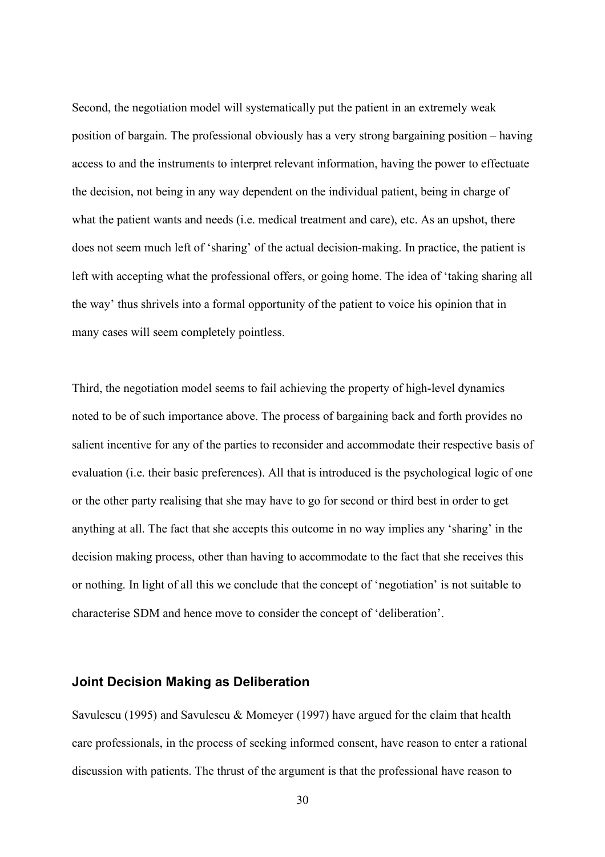Second, the negotiation model will systematically put the patient in an extremely weak position of bargain. The professional obviously has a very strong bargaining position – having access to and the instruments to interpret relevant information, having the power to effectuate the decision, not being in any way dependent on the individual patient, being in charge of what the patient wants and needs (i.e. medical treatment and care), etc. As an upshot, there does not seem much left of 'sharing' of the actual decision-making. In practice, the patient is left with accepting what the professional offers, or going home. The idea of 'taking sharing all the way' thus shrivels into a formal opportunity of the patient to voice his opinion that in many cases will seem completely pointless.

Third, the negotiation model seems to fail achieving the property of high-level dynamics noted to be of such importance above. The process of bargaining back and forth provides no salient incentive for any of the parties to reconsider and accommodate their respective basis of evaluation (i.e. their basic preferences). All that is introduced is the psychological logic of one or the other party realising that she may have to go for second or third best in order to get anything at all. The fact that she accepts this outcome in no way implies any 'sharing' in the decision making process, other than having to accommodate to the fact that she receives this or nothing. In light of all this we conclude that the concept of 'negotiation' is not suitable to characterise SDM and hence move to consider the concept of 'deliberation'.

#### **Joint Decision Making as Deliberation**

Savulescu (1995) and Savulescu & Momeyer (1997) have argued for the claim that health care professionals, in the process of seeking informed consent, have reason to enter a rational discussion with patients. The thrust of the argument is that the professional have reason to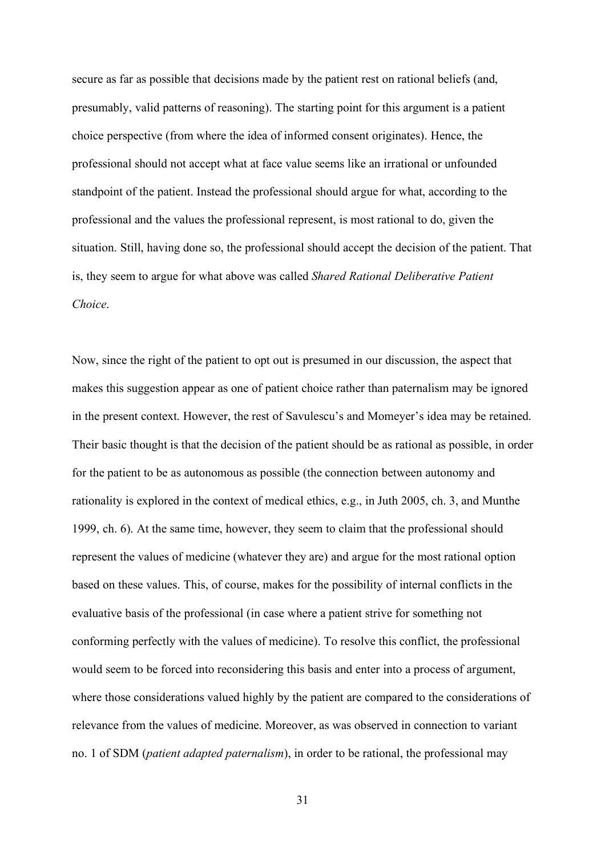secure as far as possible that decisions made by the patient rest on rational beliefs (and, presumably, valid patterns of reasoning). The starting point for this argument is a patient choice perspective (from where the idea of informed consent originates). Hence, the professional should not accept what at face value seems like an irrational or unfounded standpoint of the patient. Instead the professional should argue for what, according to the professional and the values the professional represent, is most rational to do, given the situation. Still, having done so, the professional should accept the decision of the patient. That is, they seem to argue for what above was called *Shared Rational Deliberative Patient Choice*.

Now, since the right of the patient to opt out is presumed in our discussion, the aspect that makes this suggestion appear as one of patient choice rather than paternalism may be ignored in the present context. However, the rest of Savulescu's and Momeyer's idea may be retained. Their basic thought is that the decision of the patient should be as rational as possible, in order for the patient to be as autonomous as possible (the connection between autonomy and rationality is explored in the context of medical ethics, e.g., in Juth 2005, ch. 3, and Munthe 1999, ch. 6). At the same time, however, they seem to claim that the professional should represent the values of medicine (whatever they are) and argue for the most rational option based on these values. This, of course, makes for the possibility of internal conflicts in the evaluative basis of the professional (in case where a patient strive for something not conforming perfectly with the values of medicine). To resolve this conflict, the professional would seem to be forced into reconsidering this basis and enter into a process of argument, where those considerations valued highly by the patient are compared to the considerations of relevance from the values of medicine. Moreover, as was observed in connection to variant no. 1 of SDM (*patient adapted paternalism*), in order to be rational, the professional may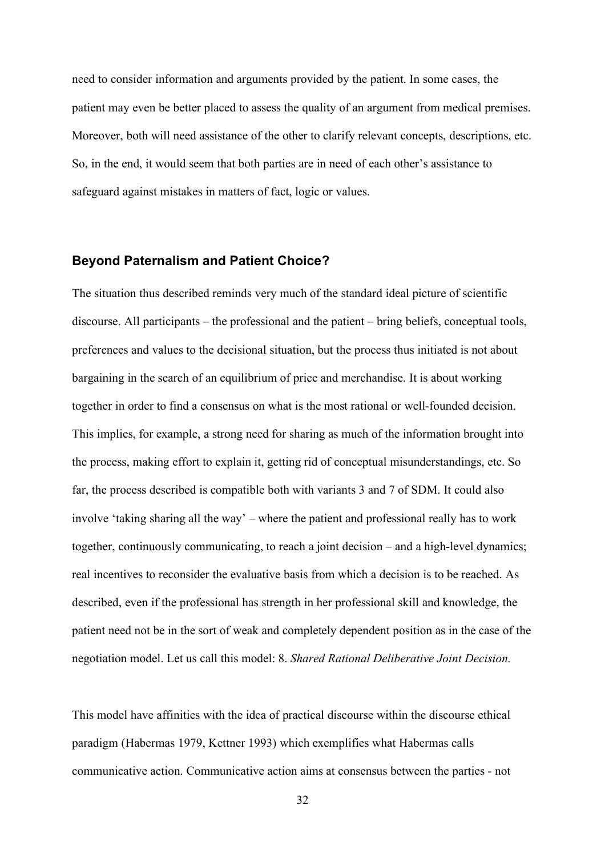need to consider information and arguments provided by the patient. In some cases, the patient may even be better placed to assess the quality of an argument from medical premises. Moreover, both will need assistance of the other to clarify relevant concepts, descriptions, etc. So, in the end, it would seem that both parties are in need of each other's assistance to safeguard against mistakes in matters of fact, logic or values.

#### **Beyond Paternalism and Patient Choice?**

The situation thus described reminds very much of the standard ideal picture of scientific discourse. All participants – the professional and the patient – bring beliefs, conceptual tools, preferences and values to the decisional situation, but the process thus initiated is not about bargaining in the search of an equilibrium of price and merchandise. It is about working together in order to find a consensus on what is the most rational or well-founded decision. This implies, for example, a strong need for sharing as much of the information brought into the process, making effort to explain it, getting rid of conceptual misunderstandings, etc. So far, the process described is compatible both with variants 3 and 7 of SDM. It could also involve 'taking sharing all the way' – where the patient and professional really has to work together, continuously communicating, to reach a joint decision – and a high-level dynamics; real incentives to reconsider the evaluative basis from which a decision is to be reached. As described, even if the professional has strength in her professional skill and knowledge, the patient need not be in the sort of weak and completely dependent position as in the case of the negotiation model. Let us call this model: 8. *Shared Rational Deliberative Joint Decision.*

This model have affinities with the idea of practical discourse within the discourse ethical paradigm (Habermas 1979, Kettner 1993) which exemplifies what Habermas calls communicative action. Communicative action aims at consensus between the parties - not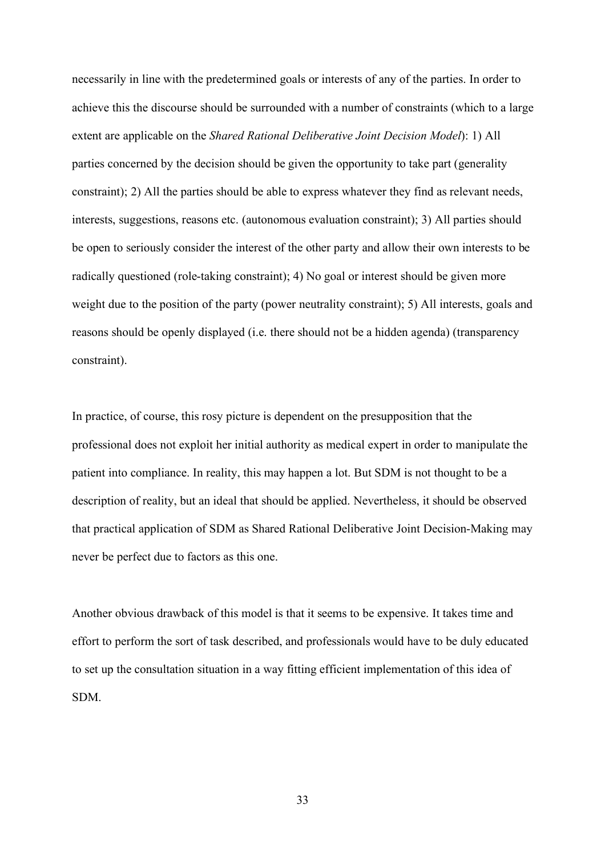necessarily in line with the predetermined goals or interests of any of the parties. In order to achieve this the discourse should be surrounded with a number of constraints (which to a large extent are applicable on the *Shared Rational Deliberative Joint Decision Model*): 1) All parties concerned by the decision should be given the opportunity to take part (generality constraint); 2) All the parties should be able to express whatever they find as relevant needs, interests, suggestions, reasons etc. (autonomous evaluation constraint); 3) All parties should be open to seriously consider the interest of the other party and allow their own interests to be radically questioned (role-taking constraint); 4) No goal or interest should be given more weight due to the position of the party (power neutrality constraint); 5) All interests, goals and reasons should be openly displayed (i.e. there should not be a hidden agenda) (transparency constraint).

In practice, of course, this rosy picture is dependent on the presupposition that the professional does not exploit her initial authority as medical expert in order to manipulate the patient into compliance. In reality, this may happen a lot. But SDM is not thought to be a description of reality, but an ideal that should be applied. Nevertheless, it should be observed that practical application of SDM as Shared Rational Deliberative Joint Decision-Making may never be perfect due to factors as this one.

Another obvious drawback of this model is that it seems to be expensive. It takes time and effort to perform the sort of task described, and professionals would have to be duly educated to set up the consultation situation in a way fitting efficient implementation of this idea of SDM.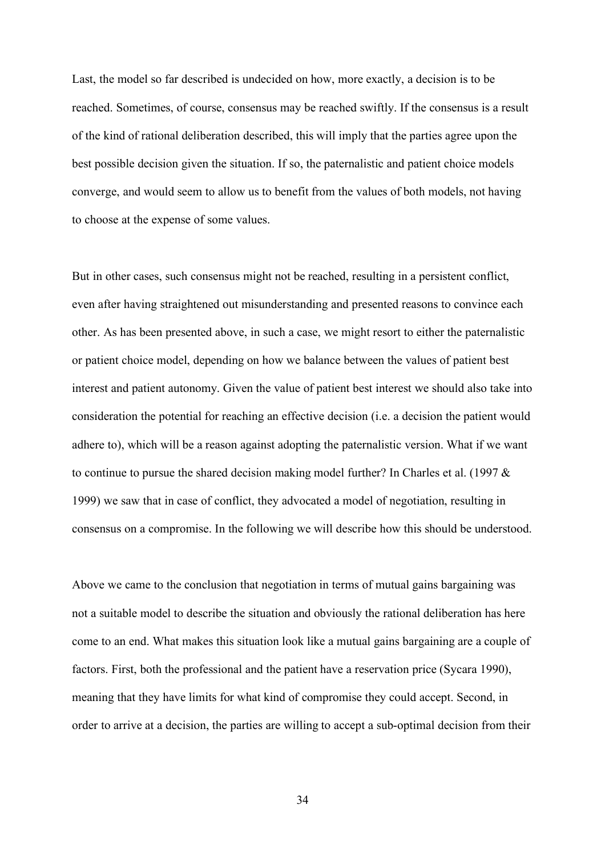Last, the model so far described is undecided on how, more exactly, a decision is to be reached. Sometimes, of course, consensus may be reached swiftly. If the consensus is a result of the kind of rational deliberation described, this will imply that the parties agree upon the best possible decision given the situation. If so, the paternalistic and patient choice models converge, and would seem to allow us to benefit from the values of both models, not having to choose at the expense of some values.

But in other cases, such consensus might not be reached, resulting in a persistent conflict, even after having straightened out misunderstanding and presented reasons to convince each other. As has been presented above, in such a case, we might resort to either the paternalistic or patient choice model, depending on how we balance between the values of patient best interest and patient autonomy. Given the value of patient best interest we should also take into consideration the potential for reaching an effective decision (i.e. a decision the patient would adhere to), which will be a reason against adopting the paternalistic version. What if we want to continue to pursue the shared decision making model further? In Charles et al. (1997 & 1999) we saw that in case of conflict, they advocated a model of negotiation, resulting in consensus on a compromise. In the following we will describe how this should be understood.

Above we came to the conclusion that negotiation in terms of mutual gains bargaining was not a suitable model to describe the situation and obviously the rational deliberation has here come to an end. What makes this situation look like a mutual gains bargaining are a couple of factors. First, both the professional and the patient have a reservation price (Sycara 1990), meaning that they have limits for what kind of compromise they could accept. Second, in order to arrive at a decision, the parties are willing to accept a sub-optimal decision from their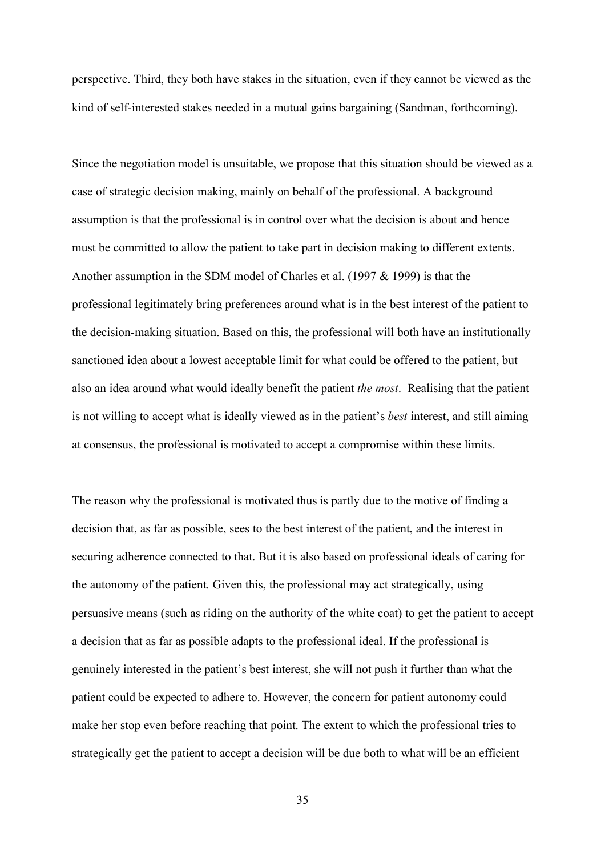perspective. Third, they both have stakes in the situation, even if they cannot be viewed as the kind of self-interested stakes needed in a mutual gains bargaining (Sandman, forthcoming).

Since the negotiation model is unsuitable, we propose that this situation should be viewed as a case of strategic decision making, mainly on behalf of the professional. A background assumption is that the professional is in control over what the decision is about and hence must be committed to allow the patient to take part in decision making to different extents. Another assumption in the SDM model of Charles et al. (1997 & 1999) is that the professional legitimately bring preferences around what is in the best interest of the patient to the decision-making situation. Based on this, the professional will both have an institutionally sanctioned idea about a lowest acceptable limit for what could be offered to the patient, but also an idea around what would ideally benefit the patient *the most*. Realising that the patient is not willing to accept what is ideally viewed as in the patient's *best* interest, and still aiming at consensus, the professional is motivated to accept a compromise within these limits.

The reason why the professional is motivated thus is partly due to the motive of finding a decision that, as far as possible, sees to the best interest of the patient, and the interest in securing adherence connected to that. But it is also based on professional ideals of caring for the autonomy of the patient. Given this, the professional may act strategically, using persuasive means (such as riding on the authority of the white coat) to get the patient to accept a decision that as far as possible adapts to the professional ideal. If the professional is genuinely interested in the patient's best interest, she will not push it further than what the patient could be expected to adhere to. However, the concern for patient autonomy could make her stop even before reaching that point. The extent to which the professional tries to strategically get the patient to accept a decision will be due both to what will be an efficient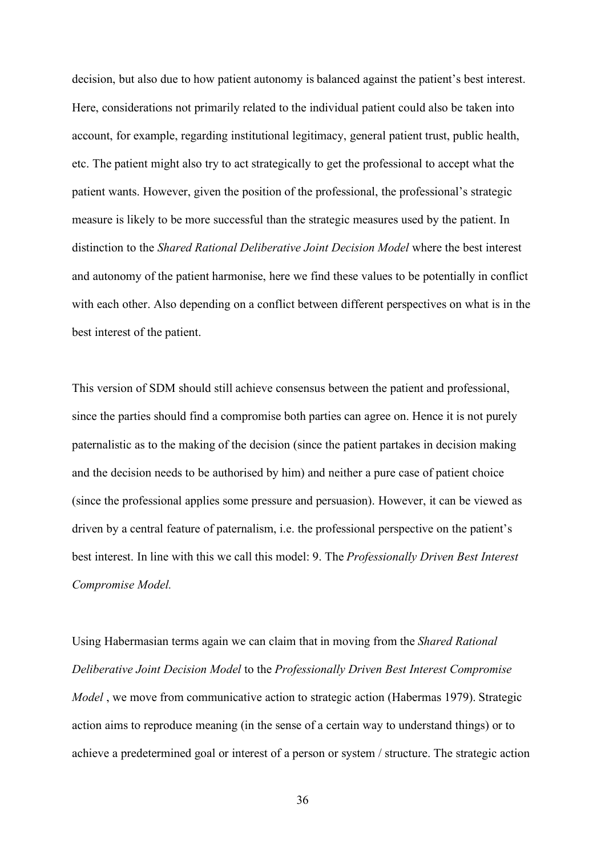decision, but also due to how patient autonomy is balanced against the patient's best interest. Here, considerations not primarily related to the individual patient could also be taken into account, for example, regarding institutional legitimacy, general patient trust, public health, etc. The patient might also try to act strategically to get the professional to accept what the patient wants. However, given the position of the professional, the professional's strategic measure is likely to be more successful than the strategic measures used by the patient. In distinction to the *Shared Rational Deliberative Joint Decision Model* where the best interest and autonomy of the patient harmonise, here we find these values to be potentially in conflict with each other. Also depending on a conflict between different perspectives on what is in the best interest of the patient.

This version of SDM should still achieve consensus between the patient and professional, since the parties should find a compromise both parties can agree on. Hence it is not purely paternalistic as to the making of the decision (since the patient partakes in decision making and the decision needs to be authorised by him) and neither a pure case of patient choice (since the professional applies some pressure and persuasion). However, it can be viewed as driven by a central feature of paternalism, i.e. the professional perspective on the patient's best interest. In line with this we call this model: 9. The *Professionally Driven Best Interest Compromise Model.*

Using Habermasian terms again we can claim that in moving from the *Shared Rational Deliberative Joint Decision Model* to the *Professionally Driven Best Interest Compromise Model*, we move from communicative action to strategic action (Habermas 1979). Strategic action aims to reproduce meaning (in the sense of a certain way to understand things) or to achieve a predetermined goal or interest of a person or system / structure. The strategic action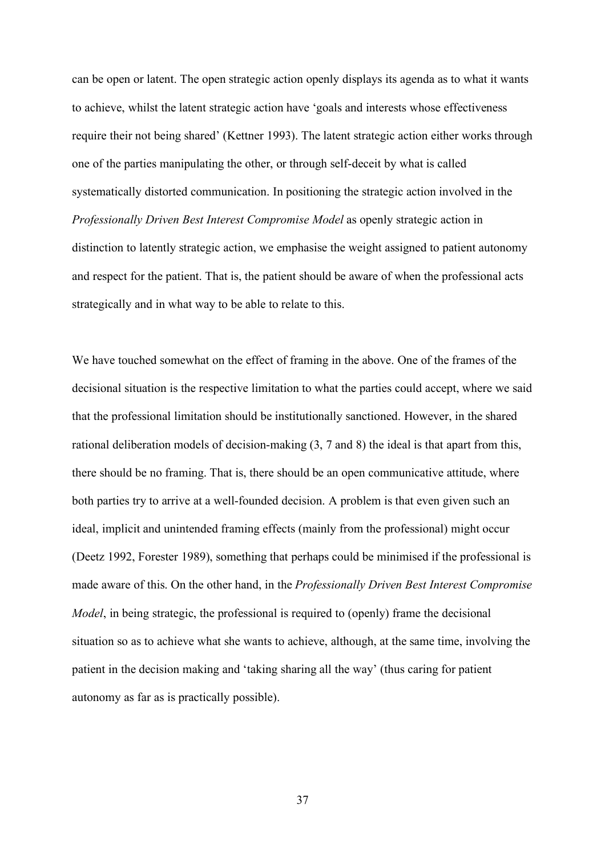can be open or latent. The open strategic action openly displays its agenda as to what it wants to achieve, whilst the latent strategic action have 'goals and interests whose effectiveness require their not being shared' (Kettner 1993). The latent strategic action either works through one of the parties manipulating the other, or through self-deceit by what is called systematically distorted communication. In positioning the strategic action involved in the *Professionally Driven Best Interest Compromise Model* as openly strategic action in distinction to latently strategic action, we emphasise the weight assigned to patient autonomy and respect for the patient. That is, the patient should be aware of when the professional acts strategically and in what way to be able to relate to this.

We have touched somewhat on the effect of framing in the above. One of the frames of the decisional situation is the respective limitation to what the parties could accept, where we said that the professional limitation should be institutionally sanctioned. However, in the shared rational deliberation models of decision-making (3, 7 and 8) the ideal is that apart from this, there should be no framing. That is, there should be an open communicative attitude, where both parties try to arrive at a well-founded decision. A problem is that even given such an ideal, implicit and unintended framing effects (mainly from the professional) might occur (Deetz 1992, Forester 1989), something that perhaps could be minimised if the professional is made aware of this. On the other hand, in the *Professionally Driven Best Interest Compromise Model*, in being strategic, the professional is required to (openly) frame the decisional situation so as to achieve what she wants to achieve, although, at the same time, involving the patient in the decision making and 'taking sharing all the way' (thus caring for patient autonomy as far as is practically possible).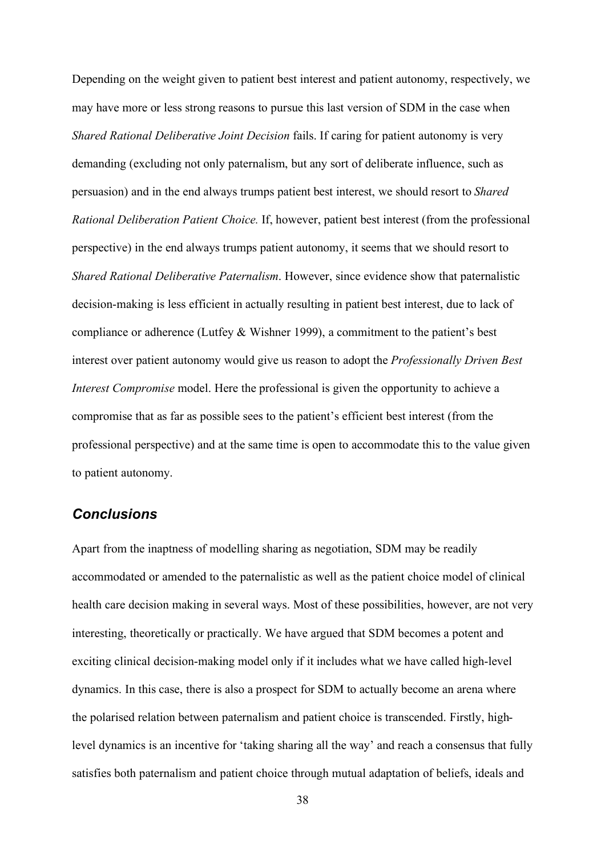Depending on the weight given to patient best interest and patient autonomy, respectively, we may have more or less strong reasons to pursue this last version of SDM in the case when *Shared Rational Deliberative Joint Decision* fails. If caring for patient autonomy is very demanding (excluding not only paternalism, but any sort of deliberate influence, such as persuasion) and in the end always trumps patient best interest, we should resort to *Shared Rational Deliberation Patient Choice.* If, however, patient best interest (from the professional perspective) in the end always trumps patient autonomy, it seems that we should resort to *Shared Rational Deliberative Paternalism*. However, since evidence show that paternalistic decision-making is less efficient in actually resulting in patient best interest, due to lack of compliance or adherence (Lutfey & Wishner 1999), a commitment to the patient's best interest over patient autonomy would give us reason to adopt the *Professionally Driven Best Interest Compromise* model. Here the professional is given the opportunity to achieve a compromise that as far as possible sees to the patient's efficient best interest (from the professional perspective) and at the same time is open to accommodate this to the value given to patient autonomy.

# *Conclusions*

Apart from the inaptness of modelling sharing as negotiation, SDM may be readily accommodated or amended to the paternalistic as well as the patient choice model of clinical health care decision making in several ways. Most of these possibilities, however, are not very interesting, theoretically or practically. We have argued that SDM becomes a potent and exciting clinical decision-making model only if it includes what we have called high-level dynamics. In this case, there is also a prospect for SDM to actually become an arena where the polarised relation between paternalism and patient choice is transcended. Firstly, highlevel dynamics is an incentive for 'taking sharing all the way' and reach a consensus that fully satisfies both paternalism and patient choice through mutual adaptation of beliefs, ideals and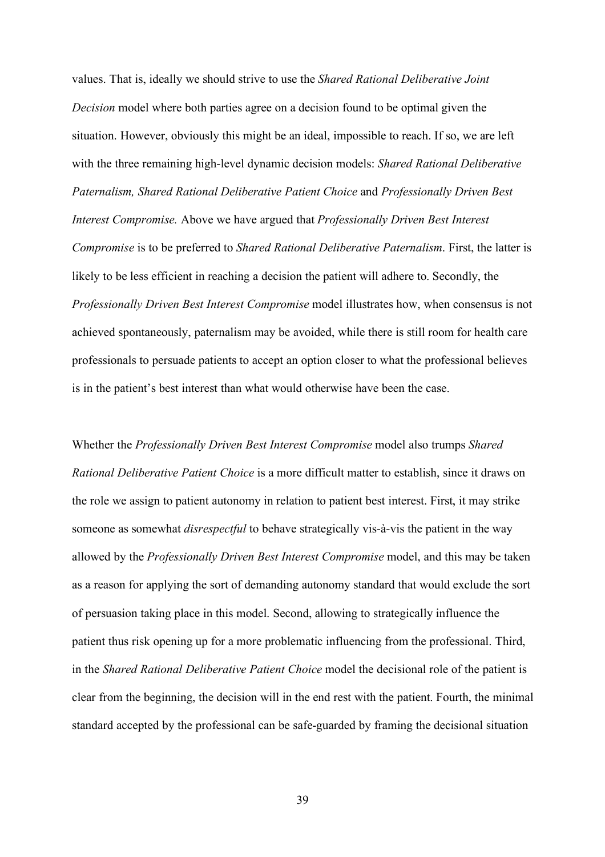values. That is, ideally we should strive to use the *Shared Rational Deliberative Joint Decision* model where both parties agree on a decision found to be optimal given the situation. However, obviously this might be an ideal, impossible to reach. If so, we are left with the three remaining high-level dynamic decision models: *Shared Rational Deliberative Paternalism, Shared Rational Deliberative Patient Choice* and *Professionally Driven Best Interest Compromise.* Above we have argued that *Professionally Driven Best Interest Compromise* is to be preferred to *Shared Rational Deliberative Paternalism*. First, the latter is likely to be less efficient in reaching a decision the patient will adhere to. Secondly, the *Professionally Driven Best Interest Compromise* model illustrates how, when consensus is not achieved spontaneously, paternalism may be avoided, while there is still room for health care professionals to persuade patients to accept an option closer to what the professional believes is in the patient's best interest than what would otherwise have been the case.

Whether the *Professionally Driven Best Interest Compromise* model also trumps *Shared Rational Deliberative Patient Choice* is a more difficult matter to establish, since it draws on the role we assign to patient autonomy in relation to patient best interest. First, it may strike someone as somewhat *disrespectful* to behave strategically vis-à-vis the patient in the way allowed by the *Professionally Driven Best Interest Compromise* model, and this may be taken as a reason for applying the sort of demanding autonomy standard that would exclude the sort of persuasion taking place in this model. Second, allowing to strategically influence the patient thus risk opening up for a more problematic influencing from the professional. Third, in the *Shared Rational Deliberative Patient Choice* model the decisional role of the patient is clear from the beginning, the decision will in the end rest with the patient. Fourth, the minimal standard accepted by the professional can be safe-guarded by framing the decisional situation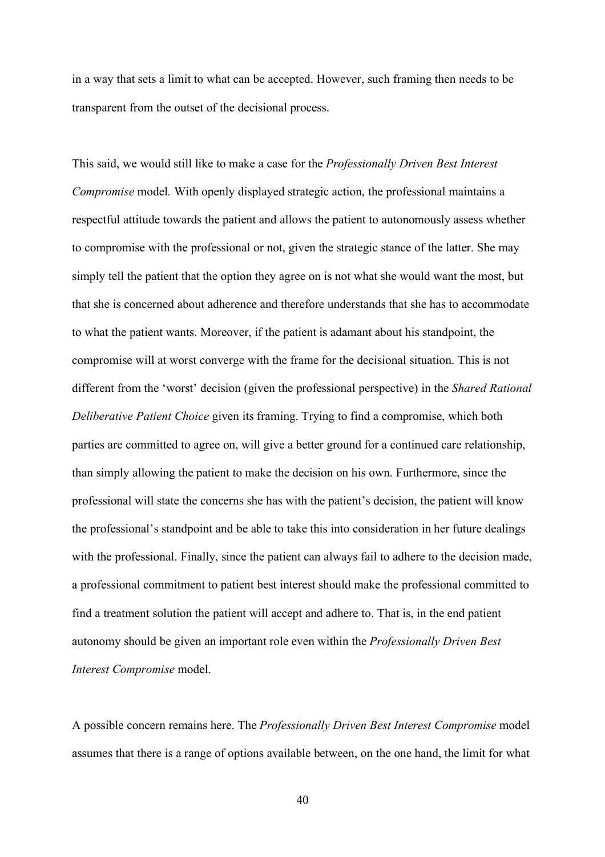in a way that sets a limit to what can be accepted. However, such framing then needs to be transparent from the outset of the decisional process.

This said, we would still like to make a case for the *Professionally Driven Best Interest Compromise* model*.* With openly displayed strategic action, the professional maintains a respectful attitude towards the patient and allows the patient to autonomously assess whether to compromise with the professional or not, given the strategic stance of the latter. She may simply tell the patient that the option they agree on is not what she would want the most, but that she is concerned about adherence and therefore understands that she has to accommodate to what the patient wants. Moreover, if the patient is adamant about his standpoint, the compromise will at worst converge with the frame for the decisional situation. This is not different from the 'worst' decision (given the professional perspective) in the *Shared Rational Deliberative Patient Choice* given its framing. Trying to find a compromise, which both parties are committed to agree on, will give a better ground for a continued care relationship, than simply allowing the patient to make the decision on his own. Furthermore, since the professional will state the concerns she has with the patient's decision, the patient will know the professional's standpoint and be able to take this into consideration in her future dealings with the professional. Finally, since the patient can always fail to adhere to the decision made, a professional commitment to patient best interest should make the professional committed to find a treatment solution the patient will accept and adhere to. That is, in the end patient autonomy should be given an important role even within the *Professionally Driven Best Interest Compromise* model.

A possible concern remains here. The *Professionally Driven Best Interest Compromise* model assumes that there is a range of options available between, on the one hand, the limit for what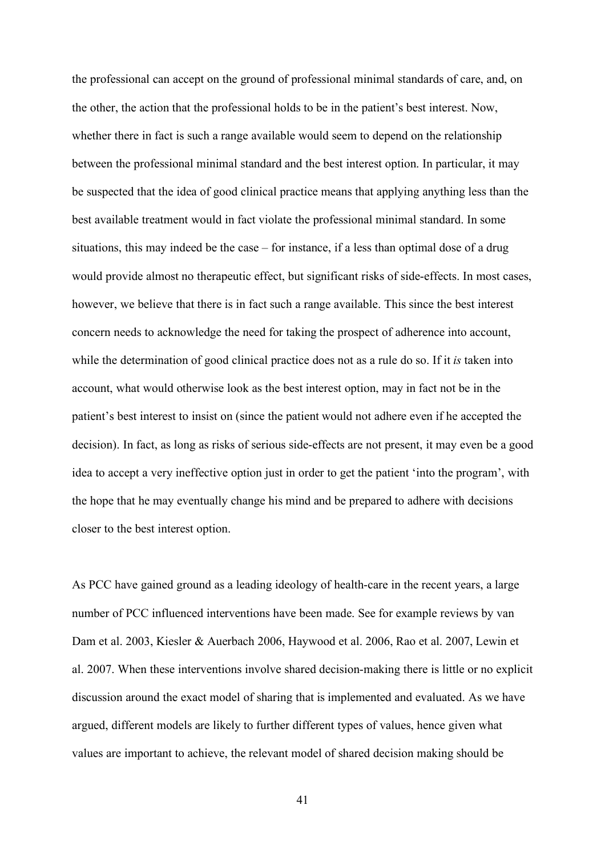the professional can accept on the ground of professional minimal standards of care, and, on the other, the action that the professional holds to be in the patient's best interest. Now, whether there in fact is such a range available would seem to depend on the relationship between the professional minimal standard and the best interest option. In particular, it may be suspected that the idea of good clinical practice means that applying anything less than the best available treatment would in fact violate the professional minimal standard. In some situations, this may indeed be the case – for instance, if a less than optimal dose of a drug would provide almost no therapeutic effect, but significant risks of side-effects. In most cases, however, we believe that there is in fact such a range available. This since the best interest concern needs to acknowledge the need for taking the prospect of adherence into account, while the determination of good clinical practice does not as a rule do so. If it *is* taken into account, what would otherwise look as the best interest option, may in fact not be in the patient's best interest to insist on (since the patient would not adhere even if he accepted the decision). In fact, as long as risks of serious side-effects are not present, it may even be a good idea to accept a very ineffective option just in order to get the patient 'into the program', with the hope that he may eventually change his mind and be prepared to adhere with decisions closer to the best interest option.

As PCC have gained ground as a leading ideology of health-care in the recent years, a large number of PCC influenced interventions have been made. See for example reviews by van Dam et al. 2003, Kiesler & Auerbach 2006, Haywood et al. 2006, Rao et al. 2007, Lewin et al. 2007. When these interventions involve shared decision-making there is little or no explicit discussion around the exact model of sharing that is implemented and evaluated. As we have argued, different models are likely to further different types of values, hence given what values are important to achieve, the relevant model of shared decision making should be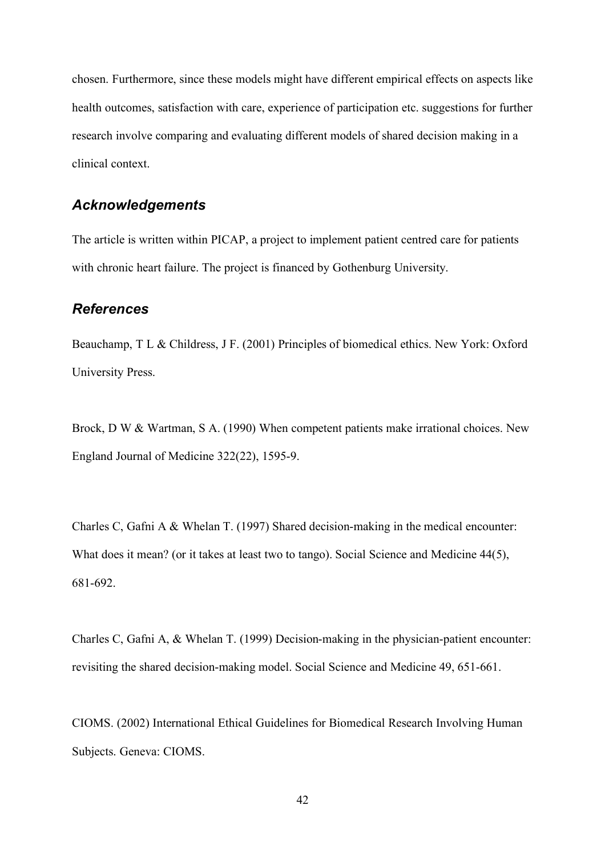chosen. Furthermore, since these models might have different empirical effects on aspects like health outcomes, satisfaction with care, experience of participation etc. suggestions for further research involve comparing and evaluating different models of shared decision making in a clinical context.

### *Acknowledgements*

The article is written within PICAP, a project to implement patient centred care for patients with chronic heart failure. The project is financed by Gothenburg University.

# *References*

Beauchamp, T L & Childress, J F. (2001) Principles of biomedical ethics. New York: Oxford University Press.

Brock, D W & Wartman, S A. (1990) When competent patients make irrational choices. New England Journal of Medicine 322(22), 1595-9.

Charles C, Gafni A & Whelan T. (1997) Shared decision-making in the medical encounter: What does it mean? (or it takes at least two to tango). Social Science and Medicine 44(5), 681-692.

Charles C, Gafni A, & Whelan T. (1999) Decision-making in the physician-patient encounter: revisiting the shared decision-making model. Social Science and Medicine 49, 651-661.

CIOMS. (2002) International Ethical Guidelines for Biomedical Research Involving Human Subjects. Geneva: CIOMS.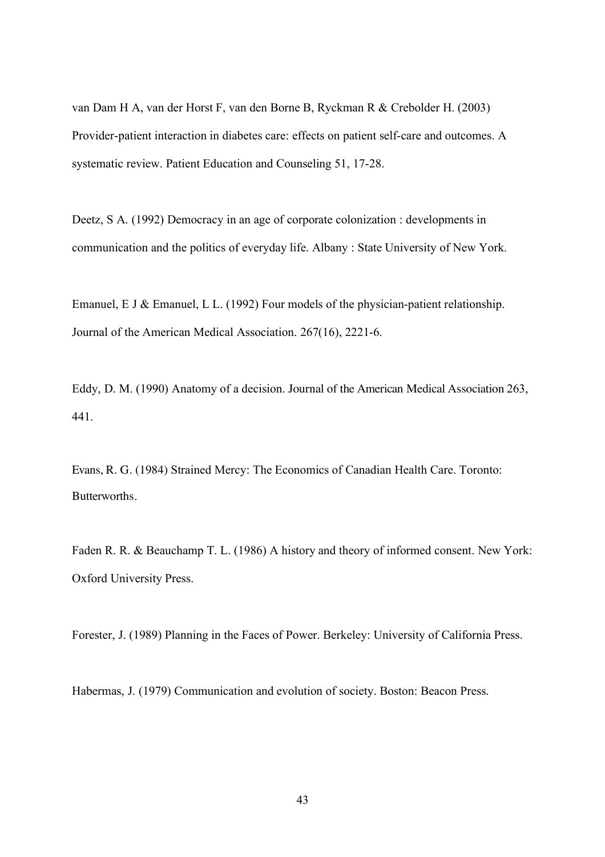van Dam H A, van der Horst F, van den Borne B, Ryckman R & Crebolder H. (2003) Provider-patient interaction in diabetes care: effects on patient self-care and outcomes. A systematic review. Patient Education and Counseling 51, 17-28.

Deetz, S A. (1992) Democracy in an age of corporate colonization : developments in communication and the politics of everyday life. Albany : State University of New York.

Emanuel, E J & Emanuel, L L. (1992) Four models of the physician-patient relationship. Journal of the American Medical Association. 267(16), 2221-6.

Eddy, D. M. (1990) Anatomy of a decision. Journal of the American Medical Association 263, 441.

Evans, R. G. (1984) Strained Mercy: The Economics of Canadian Health Care. Toronto: Butterworths.

Faden R. R. & Beauchamp T. L. (1986) A history and theory of informed consent. New York: Oxford University Press.

Forester, J. (1989) Planning in the Faces of Power. Berkeley: University of California Press.

Habermas, J. (1979) Communication and evolution of society. Boston: Beacon Press.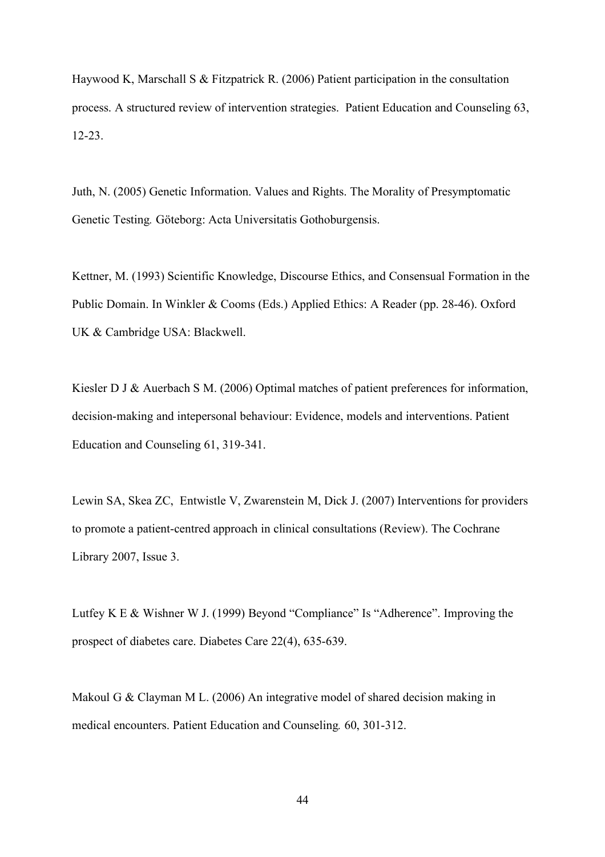Haywood K, Marschall S & Fitzpatrick R. (2006) Patient participation in the consultation process. A structured review of intervention strategies. Patient Education and Counseling 63, 12-23.

Juth, N. (2005) Genetic Information. Values and Rights. The Morality of Presymptomatic Genetic Testing*.* Göteborg: Acta Universitatis Gothoburgensis.

Kettner, M. (1993) Scientific Knowledge, Discourse Ethics, and Consensual Formation in the Public Domain. In Winkler & Cooms (Eds.) Applied Ethics: A Reader (pp. 28-46). Oxford UK & Cambridge USA: Blackwell.

Kiesler D J & Auerbach S M. (2006) Optimal matches of patient preferences for information, decision-making and intepersonal behaviour: Evidence, models and interventions. Patient Education and Counseling 61, 319-341.

Lewin SA, Skea ZC, Entwistle V, Zwarenstein M, Dick J. (2007) Interventions for providers to promote a patient-centred approach in clinical consultations (Review). The Cochrane Library 2007, Issue 3.

Lutfey K E & Wishner W J. (1999) Beyond "Compliance" Is "Adherence". Improving the prospect of diabetes care. Diabetes Care 22(4), 635-639.

Makoul G & Clayman M L. (2006) An integrative model of shared decision making in medical encounters. Patient Education and Counseling*.* 60, 301-312.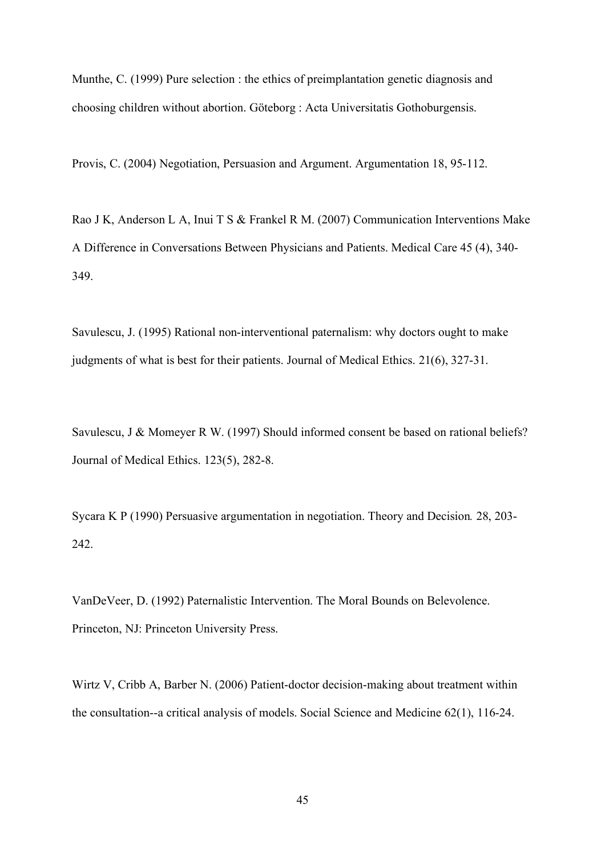Munthe, C. (1999) Pure selection : the ethics of preimplantation genetic diagnosis and choosing children without abortion. Göteborg : Acta Universitatis Gothoburgensis.

Provis, C. (2004) Negotiation, Persuasion and Argument. Argumentation 18, 95-112.

Rao J K, Anderson L A, Inui T S & Frankel R M. (2007) Communication Interventions Make A Difference in Conversations Between Physicians and Patients. Medical Care 45 (4), 340- 349.

Savulescu, J. (1995) Rational non-interventional paternalism: why doctors ought to make judgments of what is best for their patients. Journal of Medical Ethics. 21(6), 327-31.

Savulescu, J & Momeyer R W. (1997) Should informed consent be based on rational beliefs? Journal of Medical Ethics. 123(5), 282-8.

Sycara K P (1990) Persuasive argumentation in negotiation. Theory and Decision*.* 28, 203- 242.

VanDeVeer, D. (1992) Paternalistic Intervention. The Moral Bounds on Belevolence. Princeton, NJ: Princeton University Press.

Wirtz V, Cribb A, Barber N. (2006) Patient-doctor decision-making about treatment within the consultation--a critical analysis of models. Social Science and Medicine 62(1), 116-24.